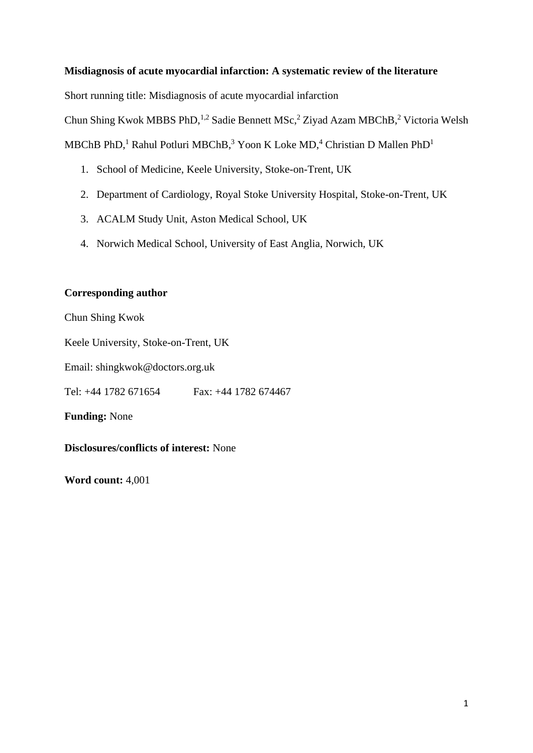# **Misdiagnosis of acute myocardial infarction: A systematic review of the literature**

Short running title: Misdiagnosis of acute myocardial infarction

Chun Shing Kwok MBBS PhD,<sup>1,2</sup> Sadie Bennett MSc,<sup>2</sup> Ziyad Azam MBChB,<sup>2</sup> Victoria Welsh

MBChB PhD,<sup>1</sup> Rahul Potluri MBChB,<sup>3</sup> Yoon K Loke MD,<sup>4</sup> Christian D Mallen PhD<sup>1</sup>

- 1. School of Medicine, Keele University, Stoke-on-Trent, UK
- 2. Department of Cardiology, Royal Stoke University Hospital, Stoke-on-Trent, UK
- 3. ACALM Study Unit, Aston Medical School, UK
- 4. Norwich Medical School, University of East Anglia, Norwich, UK

# **Corresponding author**

Chun Shing Kwok

Keele University, Stoke-on-Trent, UK

Email: shingkwok@doctors.org.uk

Tel: +44 1782 671654 Fax: +44 1782 674467

**Funding:** None

**Disclosures/conflicts of interest:** None

**Word count:** 4,001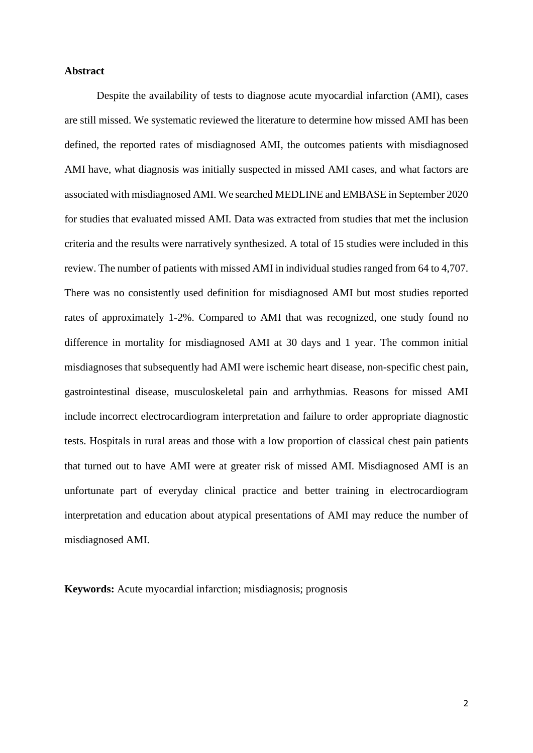### **Abstract**

Despite the availability of tests to diagnose acute myocardial infarction (AMI), cases are still missed. We systematic reviewed the literature to determine how missed AMI has been defined, the reported rates of misdiagnosed AMI, the outcomes patients with misdiagnosed AMI have, what diagnosis was initially suspected in missed AMI cases, and what factors are associated with misdiagnosed AMI. We searched MEDLINE and EMBASE in September 2020 for studies that evaluated missed AMI. Data was extracted from studies that met the inclusion criteria and the results were narratively synthesized. A total of 15 studies were included in this review. The number of patients with missed AMI in individual studies ranged from 64 to 4,707. There was no consistently used definition for misdiagnosed AMI but most studies reported rates of approximately 1-2%. Compared to AMI that was recognized, one study found no difference in mortality for misdiagnosed AMI at 30 days and 1 year. The common initial misdiagnoses that subsequently had AMI were ischemic heart disease, non-specific chest pain, gastrointestinal disease, musculoskeletal pain and arrhythmias. Reasons for missed AMI include incorrect electrocardiogram interpretation and failure to order appropriate diagnostic tests. Hospitals in rural areas and those with a low proportion of classical chest pain patients that turned out to have AMI were at greater risk of missed AMI. Misdiagnosed AMI is an unfortunate part of everyday clinical practice and better training in electrocardiogram interpretation and education about atypical presentations of AMI may reduce the number of misdiagnosed AMI.

**Keywords:** Acute myocardial infarction; misdiagnosis; prognosis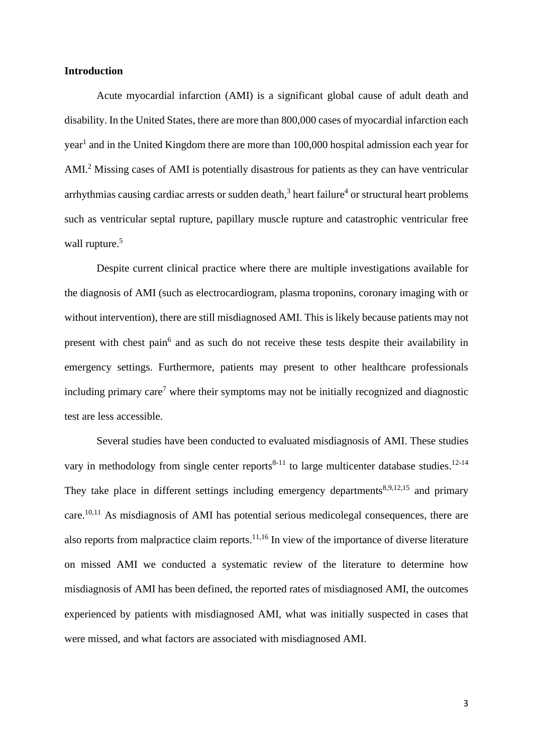#### **Introduction**

Acute myocardial infarction (AMI) is a significant global cause of adult death and disability. In the United States, there are more than 800,000 cases of myocardial infarction each year<sup>1</sup> and in the United Kingdom there are more than 100,000 hospital admission each year for AMI. <sup>2</sup> Missing cases of AMI is potentially disastrous for patients as they can have ventricular arrhythmias causing cardiac arrests or sudden death, $3$  heart failure $4$  or structural heart problems such as ventricular septal rupture, papillary muscle rupture and catastrophic ventricular free wall rupture.<sup>5</sup>

Despite current clinical practice where there are multiple investigations available for the diagnosis of AMI (such as electrocardiogram, plasma troponins, coronary imaging with or without intervention), there are still misdiagnosed AMI. This is likely because patients may not present with chest pain<sup>6</sup> and as such do not receive these tests despite their availability in emergency settings. Furthermore, patients may present to other healthcare professionals including primary care<sup>7</sup> where their symptoms may not be initially recognized and diagnostic test are less accessible.

Several studies have been conducted to evaluated misdiagnosis of AMI. These studies vary in methodology from single center reports<sup>8-11</sup> to large multicenter database studies.<sup>12-14</sup> They take place in different settings including emergency departments<sup>8,9,12,15</sup> and primary care.<sup>10,11</sup> As misdiagnosis of AMI has potential serious medicolegal consequences, there are also reports from malpractice claim reports.<sup>11,16</sup> In view of the importance of diverse literature on missed AMI we conducted a systematic review of the literature to determine how misdiagnosis of AMI has been defined, the reported rates of misdiagnosed AMI, the outcomes experienced by patients with misdiagnosed AMI, what was initially suspected in cases that were missed, and what factors are associated with misdiagnosed AMI.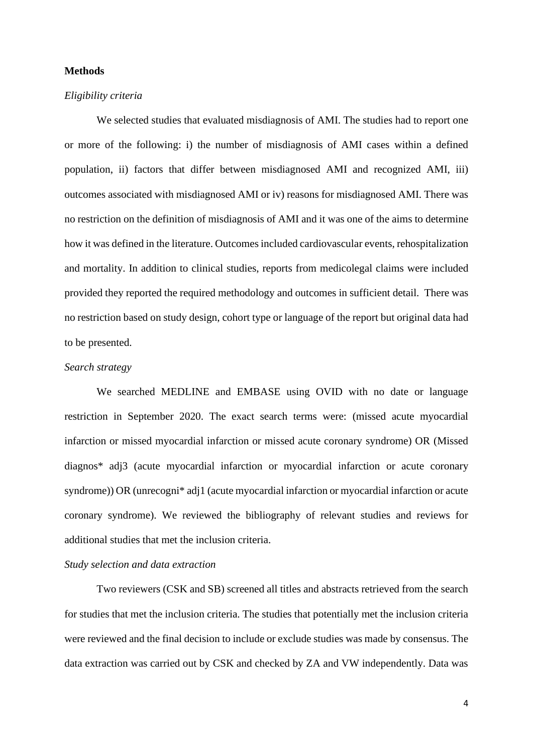### **Methods**

#### *Eligibility criteria*

We selected studies that evaluated misdiagnosis of AMI. The studies had to report one or more of the following: i) the number of misdiagnosis of AMI cases within a defined population, ii) factors that differ between misdiagnosed AMI and recognized AMI, iii) outcomes associated with misdiagnosed AMI or iv) reasons for misdiagnosed AMI. There was no restriction on the definition of misdiagnosis of AMI and it was one of the aims to determine how it was defined in the literature. Outcomes included cardiovascular events, rehospitalization and mortality. In addition to clinical studies, reports from medicolegal claims were included provided they reported the required methodology and outcomes in sufficient detail. There was no restriction based on study design, cohort type or language of the report but original data had to be presented.

# *Search strategy*

We searched MEDLINE and EMBASE using OVID with no date or language restriction in September 2020. The exact search terms were: (missed acute myocardial infarction or missed myocardial infarction or missed acute coronary syndrome) OR (Missed diagnos\* adj3 (acute myocardial infarction or myocardial infarction or acute coronary syndrome)) OR (unrecogni<sup>\*</sup> adj1 (acute myocardial infarction or myocardial infarction or acute coronary syndrome). We reviewed the bibliography of relevant studies and reviews for additional studies that met the inclusion criteria.

### *Study selection and data extraction*

Two reviewers (CSK and SB) screened all titles and abstracts retrieved from the search for studies that met the inclusion criteria. The studies that potentially met the inclusion criteria were reviewed and the final decision to include or exclude studies was made by consensus. The data extraction was carried out by CSK and checked by ZA and VW independently. Data was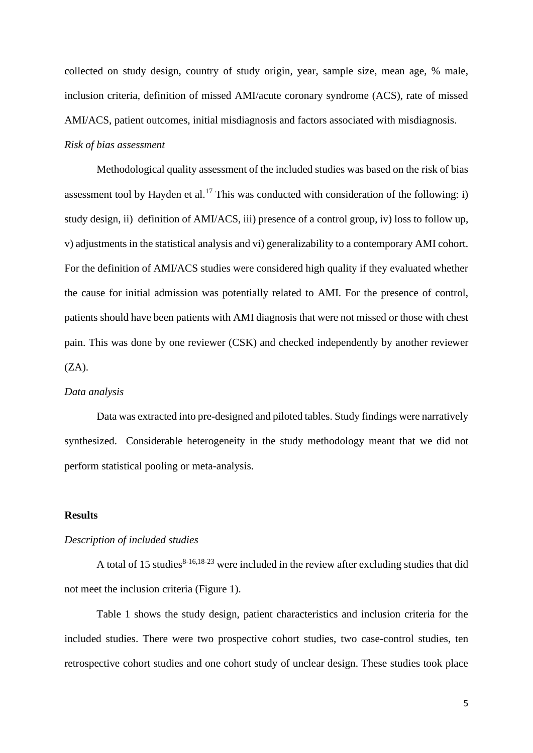collected on study design, country of study origin, year, sample size, mean age, % male, inclusion criteria, definition of missed AMI/acute coronary syndrome (ACS), rate of missed AMI/ACS, patient outcomes, initial misdiagnosis and factors associated with misdiagnosis. *Risk of bias assessment*

Methodological quality assessment of the included studies was based on the risk of bias assessment tool by Hayden et al.<sup>17</sup> This was conducted with consideration of the following: i) study design, ii) definition of AMI/ACS, iii) presence of a control group, iv) loss to follow up, v) adjustments in the statistical analysis and vi) generalizability to a contemporary AMI cohort. For the definition of AMI/ACS studies were considered high quality if they evaluated whether the cause for initial admission was potentially related to AMI. For the presence of control, patients should have been patients with AMI diagnosis that were not missed or those with chest pain. This was done by one reviewer (CSK) and checked independently by another reviewer  $(ZA)$ .

#### *Data analysis*

Data was extracted into pre-designed and piloted tables. Study findings were narratively synthesized. Considerable heterogeneity in the study methodology meant that we did not perform statistical pooling or meta-analysis.

### **Results**

#### *Description of included studies*

A total of 15 studies<sup>8-16,18-23</sup> were included in the review after excluding studies that did not meet the inclusion criteria (Figure 1).

Table 1 shows the study design, patient characteristics and inclusion criteria for the included studies. There were two prospective cohort studies, two case-control studies, ten retrospective cohort studies and one cohort study of unclear design. These studies took place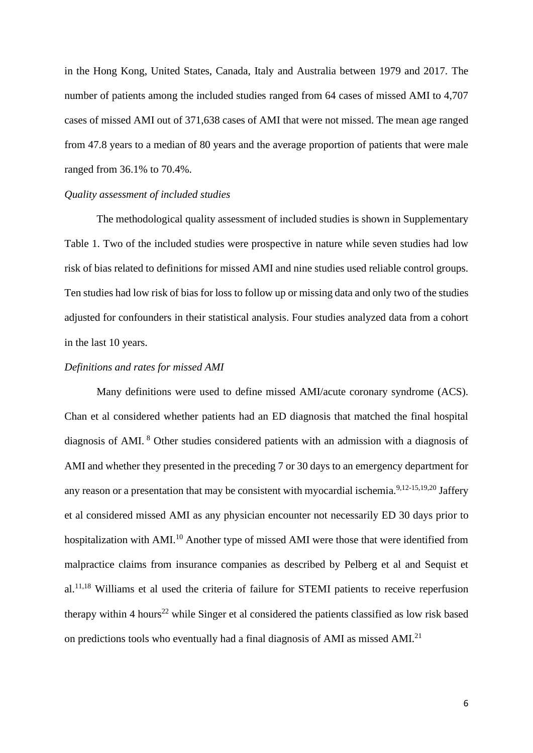in the Hong Kong, United States, Canada, Italy and Australia between 1979 and 2017. The number of patients among the included studies ranged from 64 cases of missed AMI to 4,707 cases of missed AMI out of 371,638 cases of AMI that were not missed. The mean age ranged from 47.8 years to a median of 80 years and the average proportion of patients that were male ranged from 36.1% to 70.4%.

# *Quality assessment of included studies*

The methodological quality assessment of included studies is shown in Supplementary Table 1. Two of the included studies were prospective in nature while seven studies had low risk of bias related to definitions for missed AMI and nine studies used reliable control groups. Ten studies had low risk of bias for loss to follow up or missing data and only two of the studies adjusted for confounders in their statistical analysis. Four studies analyzed data from a cohort in the last 10 years.

# *Definitions and rates for missed AMI*

Many definitions were used to define missed AMI/acute coronary syndrome (ACS). Chan et al considered whether patients had an ED diagnosis that matched the final hospital diagnosis of AMI. <sup>8</sup> Other studies considered patients with an admission with a diagnosis of AMI and whether they presented in the preceding 7 or 30 days to an emergency department for any reason or a presentation that may be consistent with myocardial ischemia.<sup>9,12-15,19,20</sup> Jaffery et al considered missed AMI as any physician encounter not necessarily ED 30 days prior to hospitalization with AMI.<sup>10</sup> Another type of missed AMI were those that were identified from malpractice claims from insurance companies as described by Pelberg et al and Sequist et al.<sup>11,18</sup> Williams et al used the criteria of failure for STEMI patients to receive reperfusion therapy within 4 hours<sup>22</sup> while Singer et al considered the patients classified as low risk based on predictions tools who eventually had a final diagnosis of AMI as missed AMI.<sup>21</sup>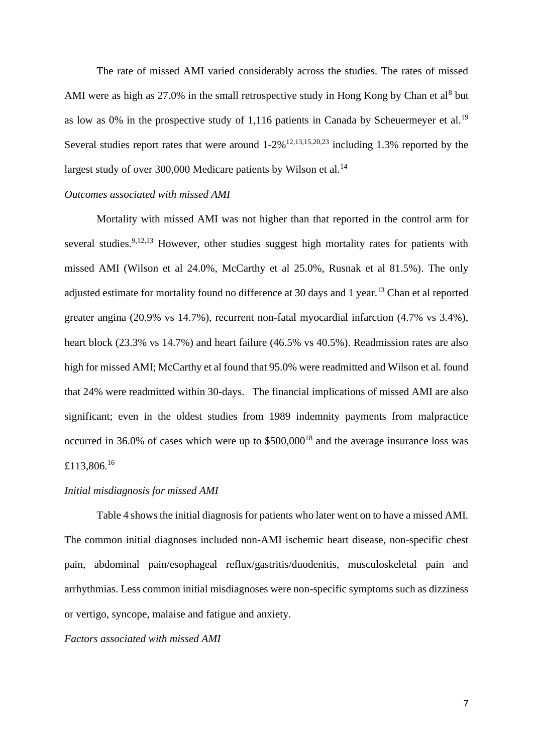The rate of missed AMI varied considerably across the studies. The rates of missed AMI were as high as  $27.0\%$  in the small retrospective study in Hong Kong by Chan et al<sup>8</sup> but as low as 0% in the prospective study of 1,116 patients in Canada by Scheuermeyer et al.<sup>19</sup> Several studies report rates that were around  $1-2\%$   $^{12,13,15,20,23}$  including 1.3% reported by the largest study of over 300,000 Medicare patients by Wilson et al.<sup>14</sup>

# *Outcomes associated with missed AMI*

Mortality with missed AMI was not higher than that reported in the control arm for several studies.<sup>9,12,13</sup> However, other studies suggest high mortality rates for patients with missed AMI (Wilson et al 24.0%, McCarthy et al 25.0%, Rusnak et al 81.5%). The only adjusted estimate for mortality found no difference at 30 days and 1 year.<sup>13</sup> Chan et al reported greater angina (20.9% vs 14.7%), recurrent non-fatal myocardial infarction (4.7% vs 3.4%), heart block (23.3% vs 14.7%) and heart failure (46.5% vs 40.5%). Readmission rates are also high for missed AMI; McCarthy et al found that 95.0% were readmitted and Wilson et al. found that 24% were readmitted within 30-days. The financial implications of missed AMI are also significant; even in the oldest studies from 1989 indemnity payments from malpractice occurred in 36.0% of cases which were up to  $$500,000<sup>18</sup>$  and the average insurance loss was £113,806.<sup>16</sup>

#### *Initial misdiagnosis for missed AMI*

Table 4 shows the initial diagnosis for patients who later went on to have a missed AMI. The common initial diagnoses included non-AMI ischemic heart disease, non-specific chest pain, abdominal pain/esophageal reflux/gastritis/duodenitis, musculoskeletal pain and arrhythmias. Less common initial misdiagnoses were non-specific symptoms such as dizziness or vertigo, syncope, malaise and fatigue and anxiety.

# *Factors associated with missed AMI*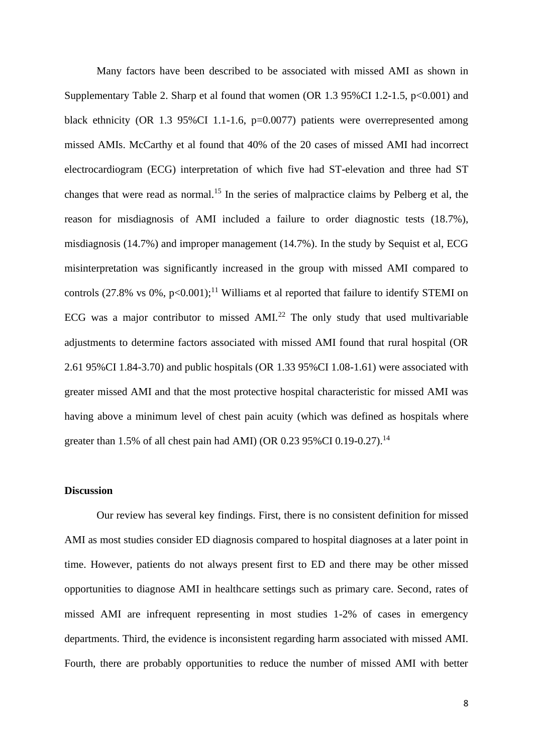Many factors have been described to be associated with missed AMI as shown in Supplementary Table 2. Sharp et al found that women (OR  $1.3$  95%CI 1.2-1.5, p<0.001) and black ethnicity (OR 1.3 95%CI 1.1-1.6, p=0.0077) patients were overrepresented among missed AMIs. McCarthy et al found that 40% of the 20 cases of missed AMI had incorrect electrocardiogram (ECG) interpretation of which five had ST-elevation and three had ST changes that were read as normal.<sup>15</sup> In the series of malpractice claims by Pelberg et al, the reason for misdiagnosis of AMI included a failure to order diagnostic tests (18.7%), misdiagnosis (14.7%) and improper management (14.7%). In the study by Sequist et al, ECG misinterpretation was significantly increased in the group with missed AMI compared to controls (27.8% vs 0%,  $p<0.001$ );<sup>11</sup> Williams et al reported that failure to identify STEMI on ECG was a major contributor to missed AMI. $^{22}$  The only study that used multivariable adjustments to determine factors associated with missed AMI found that rural hospital (OR 2.61 95%CI 1.84-3.70) and public hospitals (OR 1.33 95%CI 1.08-1.61) were associated with greater missed AMI and that the most protective hospital characteristic for missed AMI was having above a minimum level of chest pain acuity (which was defined as hospitals where greater than 1.5% of all chest pain had AMI) (OR  $0.2395\%$ CI  $0.19-0.27$ ).<sup>14</sup>

#### **Discussion**

Our review has several key findings. First, there is no consistent definition for missed AMI as most studies consider ED diagnosis compared to hospital diagnoses at a later point in time. However, patients do not always present first to ED and there may be other missed opportunities to diagnose AMI in healthcare settings such as primary care. Second, rates of missed AMI are infrequent representing in most studies 1-2% of cases in emergency departments. Third, the evidence is inconsistent regarding harm associated with missed AMI. Fourth, there are probably opportunities to reduce the number of missed AMI with better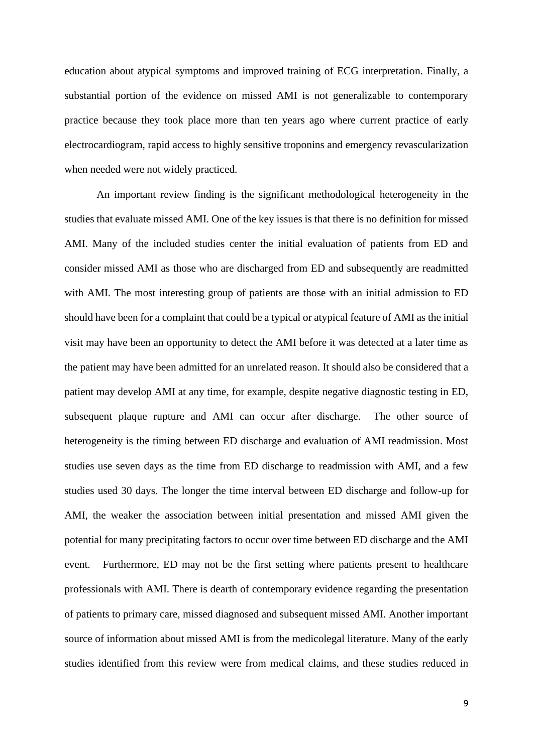education about atypical symptoms and improved training of ECG interpretation. Finally, a substantial portion of the evidence on missed AMI is not generalizable to contemporary practice because they took place more than ten years ago where current practice of early electrocardiogram, rapid access to highly sensitive troponins and emergency revascularization when needed were not widely practiced.

An important review finding is the significant methodological heterogeneity in the studies that evaluate missed AMI. One of the key issues is that there is no definition for missed AMI. Many of the included studies center the initial evaluation of patients from ED and consider missed AMI as those who are discharged from ED and subsequently are readmitted with AMI. The most interesting group of patients are those with an initial admission to ED should have been for a complaint that could be a typical or atypical feature of AMI as the initial visit may have been an opportunity to detect the AMI before it was detected at a later time as the patient may have been admitted for an unrelated reason. It should also be considered that a patient may develop AMI at any time, for example, despite negative diagnostic testing in ED, subsequent plaque rupture and AMI can occur after discharge. The other source of heterogeneity is the timing between ED discharge and evaluation of AMI readmission. Most studies use seven days as the time from ED discharge to readmission with AMI, and a few studies used 30 days. The longer the time interval between ED discharge and follow-up for AMI, the weaker the association between initial presentation and missed AMI given the potential for many precipitating factors to occur over time between ED discharge and the AMI event. Furthermore, ED may not be the first setting where patients present to healthcare professionals with AMI. There is dearth of contemporary evidence regarding the presentation of patients to primary care, missed diagnosed and subsequent missed AMI. Another important source of information about missed AMI is from the medicolegal literature. Many of the early studies identified from this review were from medical claims, and these studies reduced in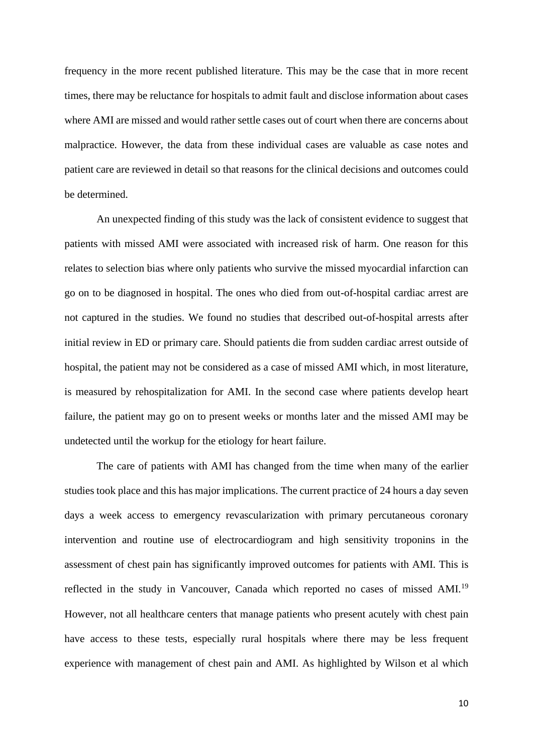frequency in the more recent published literature. This may be the case that in more recent times, there may be reluctance for hospitals to admit fault and disclose information about cases where AMI are missed and would rather settle cases out of court when there are concerns about malpractice. However, the data from these individual cases are valuable as case notes and patient care are reviewed in detail so that reasons for the clinical decisions and outcomes could be determined.

An unexpected finding of this study was the lack of consistent evidence to suggest that patients with missed AMI were associated with increased risk of harm. One reason for this relates to selection bias where only patients who survive the missed myocardial infarction can go on to be diagnosed in hospital. The ones who died from out-of-hospital cardiac arrest are not captured in the studies. We found no studies that described out-of-hospital arrests after initial review in ED or primary care. Should patients die from sudden cardiac arrest outside of hospital, the patient may not be considered as a case of missed AMI which, in most literature, is measured by rehospitalization for AMI. In the second case where patients develop heart failure, the patient may go on to present weeks or months later and the missed AMI may be undetected until the workup for the etiology for heart failure.

The care of patients with AMI has changed from the time when many of the earlier studies took place and this has major implications. The current practice of 24 hours a day seven days a week access to emergency revascularization with primary percutaneous coronary intervention and routine use of electrocardiogram and high sensitivity troponins in the assessment of chest pain has significantly improved outcomes for patients with AMI. This is reflected in the study in Vancouver, Canada which reported no cases of missed AMI.<sup>19</sup> However, not all healthcare centers that manage patients who present acutely with chest pain have access to these tests, especially rural hospitals where there may be less frequent experience with management of chest pain and AMI. As highlighted by Wilson et al which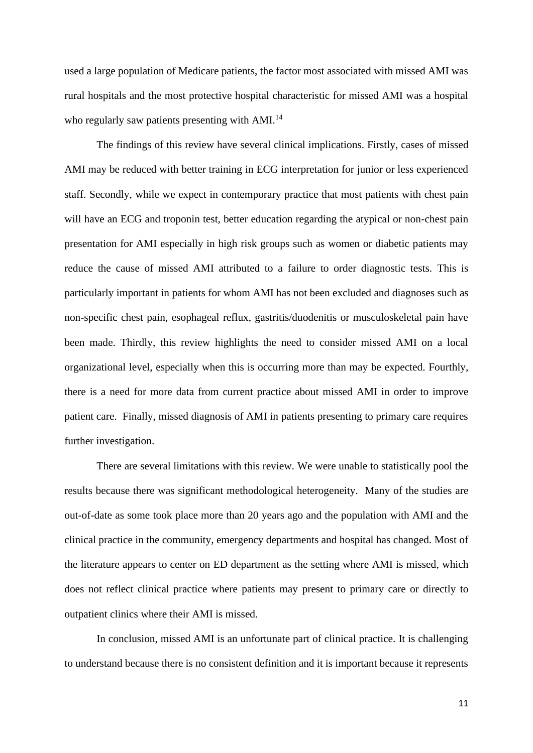used a large population of Medicare patients, the factor most associated with missed AMI was rural hospitals and the most protective hospital characteristic for missed AMI was a hospital who regularly saw patients presenting with AMI.<sup>14</sup>

The findings of this review have several clinical implications. Firstly, cases of missed AMI may be reduced with better training in ECG interpretation for junior or less experienced staff. Secondly, while we expect in contemporary practice that most patients with chest pain will have an ECG and troponin test, better education regarding the atypical or non-chest pain presentation for AMI especially in high risk groups such as women or diabetic patients may reduce the cause of missed AMI attributed to a failure to order diagnostic tests. This is particularly important in patients for whom AMI has not been excluded and diagnoses such as non-specific chest pain, esophageal reflux, gastritis/duodenitis or musculoskeletal pain have been made. Thirdly, this review highlights the need to consider missed AMI on a local organizational level, especially when this is occurring more than may be expected. Fourthly, there is a need for more data from current practice about missed AMI in order to improve patient care. Finally, missed diagnosis of AMI in patients presenting to primary care requires further investigation.

There are several limitations with this review. We were unable to statistically pool the results because there was significant methodological heterogeneity. Many of the studies are out-of-date as some took place more than 20 years ago and the population with AMI and the clinical practice in the community, emergency departments and hospital has changed. Most of the literature appears to center on ED department as the setting where AMI is missed, which does not reflect clinical practice where patients may present to primary care or directly to outpatient clinics where their AMI is missed.

In conclusion, missed AMI is an unfortunate part of clinical practice. It is challenging to understand because there is no consistent definition and it is important because it represents

11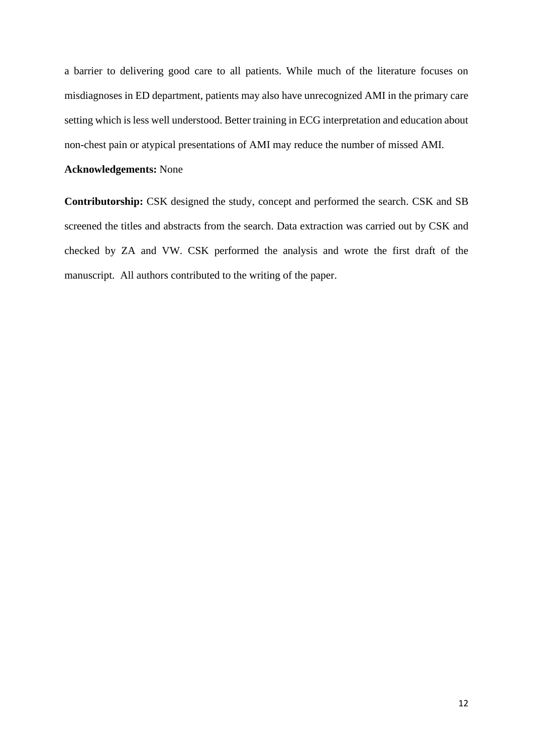a barrier to delivering good care to all patients. While much of the literature focuses on misdiagnoses in ED department, patients may also have unrecognized AMI in the primary care setting which is less well understood. Better training in ECG interpretation and education about non-chest pain or atypical presentations of AMI may reduce the number of missed AMI.

# **Acknowledgements:** None

**Contributorship:** CSK designed the study, concept and performed the search. CSK and SB screened the titles and abstracts from the search. Data extraction was carried out by CSK and checked by ZA and VW. CSK performed the analysis and wrote the first draft of the manuscript. All authors contributed to the writing of the paper.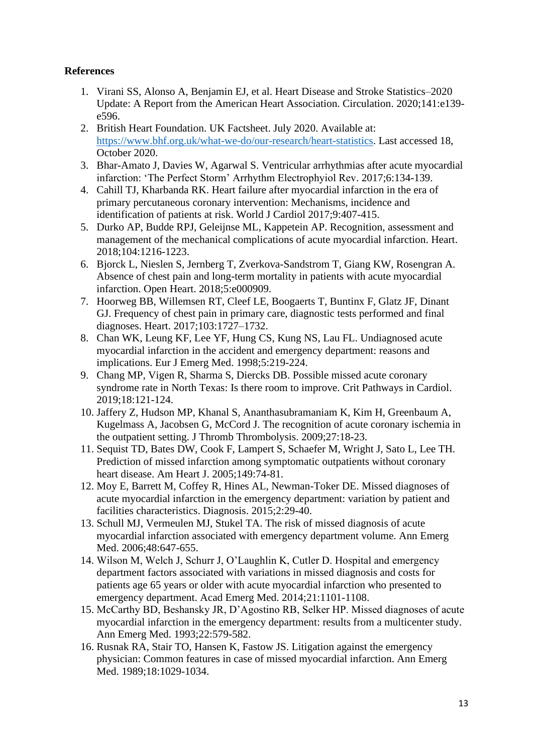# **References**

- 1. Virani SS, Alonso A, Benjamin EJ, et al. Heart Disease and Stroke Statistics–2020 Update: A Report from the American Heart Association. Circulation. 2020;141:e139 e596.
- 2. British Heart Foundation. UK Factsheet. July 2020. Available at: [https://www.bhf.org.uk/what-we-do/our-research/heart-statistics.](about:blank) Last accessed 18, October 2020.
- 3. Bhar-Amato J, Davies W, Agarwal S. Ventricular arrhythmias after acute myocardial infarction: 'The Perfect Storm' Arrhythm Electrophyiol Rev. 2017;6:134-139.
- 4. Cahill TJ, Kharbanda RK. Heart failure after myocardial infarction in the era of primary percutaneous coronary intervention: Mechanisms, incidence and identification of patients at risk. World J Cardiol 2017;9:407-415.
- 5. Durko AP, Budde RPJ, Geleijnse ML, Kappetein AP. Recognition, assessment and management of the mechanical complications of acute myocardial infarction. Heart. 2018;104:1216-1223.
- 6. Bjorck L, Nieslen S, Jernberg T, Zverkova-Sandstrom T, Giang KW, Rosengran A. Absence of chest pain and long-term mortality in patients with acute myocardial infarction. Open Heart. 2018;5:e000909.
- 7. Hoorweg BB, Willemsen RT, Cleef LE, Boogaerts T, Buntinx F, Glatz JF, Dinant GJ. Frequency of chest pain in primary care, diagnostic tests performed and final diagnoses. Heart. 2017;103:1727–1732.
- 8. Chan WK, Leung KF, Lee YF, Hung CS, Kung NS, Lau FL. Undiagnosed acute myocardial infarction in the accident and emergency department: reasons and implications. Eur J Emerg Med. 1998;5:219-224.
- 9. Chang MP, Vigen R, Sharma S, Diercks DB. Possible missed acute coronary syndrome rate in North Texas: Is there room to improve. Crit Pathways in Cardiol. 2019;18:121-124.
- 10. Jaffery Z, Hudson MP, Khanal S, Ananthasubramaniam K, Kim H, Greenbaum A, Kugelmass A, Jacobsen G, McCord J. The recognition of acute coronary ischemia in the outpatient setting. J Thromb Thrombolysis. 2009;27:18-23.
- 11. Sequist TD, Bates DW, Cook F, Lampert S, Schaefer M, Wright J, Sato L, Lee TH. Prediction of missed infarction among symptomatic outpatients without coronary heart disease. Am Heart J. 2005;149:74-81.
- 12. Moy E, Barrett M, Coffey R, Hines AL, Newman-Toker DE. Missed diagnoses of acute myocardial infarction in the emergency department: variation by patient and facilities characteristics. Diagnosis. 2015;2:29-40.
- 13. Schull MJ, Vermeulen MJ, Stukel TA. The risk of missed diagnosis of acute myocardial infarction associated with emergency department volume. Ann Emerg Med. 2006;48:647-655.
- 14. Wilson M, Welch J, Schurr J, O'Laughlin K, Cutler D. Hospital and emergency department factors associated with variations in missed diagnosis and costs for patients age 65 years or older with acute myocardial infarction who presented to emergency department. Acad Emerg Med. 2014;21:1101-1108.
- 15. McCarthy BD, Beshansky JR, D'Agostino RB, Selker HP. Missed diagnoses of acute myocardial infarction in the emergency department: results from a multicenter study. Ann Emerg Med. 1993;22:579-582.
- 16. Rusnak RA, Stair TO, Hansen K, Fastow JS. Litigation against the emergency physician: Common features in case of missed myocardial infarction. Ann Emerg Med. 1989;18:1029-1034.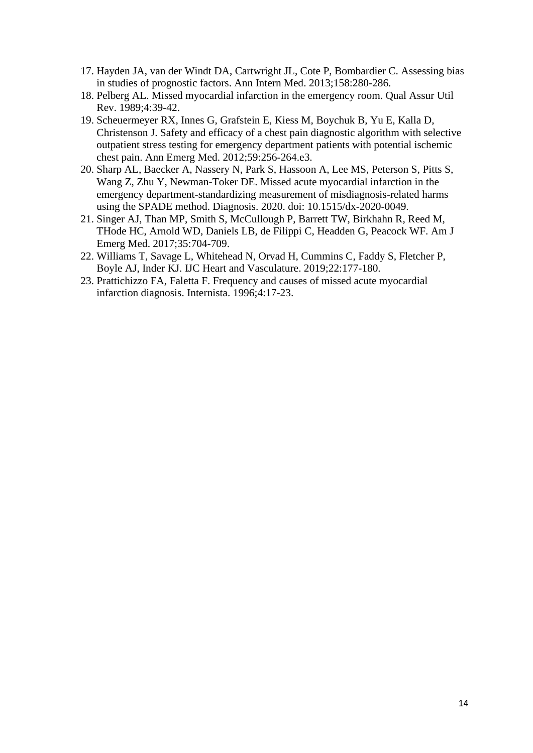- 17. Hayden JA, van der Windt DA, Cartwright JL, Cote P, Bombardier C. Assessing bias in studies of prognostic factors. Ann Intern Med. 2013;158:280-286.
- 18. Pelberg AL. Missed myocardial infarction in the emergency room. Qual Assur Util Rev. 1989;4:39-42.
- 19. Scheuermeyer RX, Innes G, Grafstein E, Kiess M, Boychuk B, Yu E, Kalla D, Christenson J. Safety and efficacy of a chest pain diagnostic algorithm with selective outpatient stress testing for emergency department patients with potential ischemic chest pain. Ann Emerg Med. 2012;59:256-264.e3.
- 20. Sharp AL, Baecker A, Nassery N, Park S, Hassoon A, Lee MS, Peterson S, Pitts S, Wang Z, Zhu Y, Newman-Toker DE. Missed acute myocardial infarction in the emergency department-standardizing measurement of misdiagnosis-related harms using the SPADE method. Diagnosis. 2020. doi: 10.1515/dx-2020-0049.
- 21. Singer AJ, Than MP, Smith S, McCullough P, Barrett TW, Birkhahn R, Reed M, THode HC, Arnold WD, Daniels LB, de Filippi C, Headden G, Peacock WF. Am J Emerg Med. 2017;35:704-709.
- 22. Williams T, Savage L, Whitehead N, Orvad H, Cummins C, Faddy S, Fletcher P, Boyle AJ, Inder KJ. IJC Heart and Vasculature. 2019;22:177-180.
- 23. Prattichizzo FA, Faletta F. Frequency and causes of missed acute myocardial infarction diagnosis. Internista. 1996;4:17-23.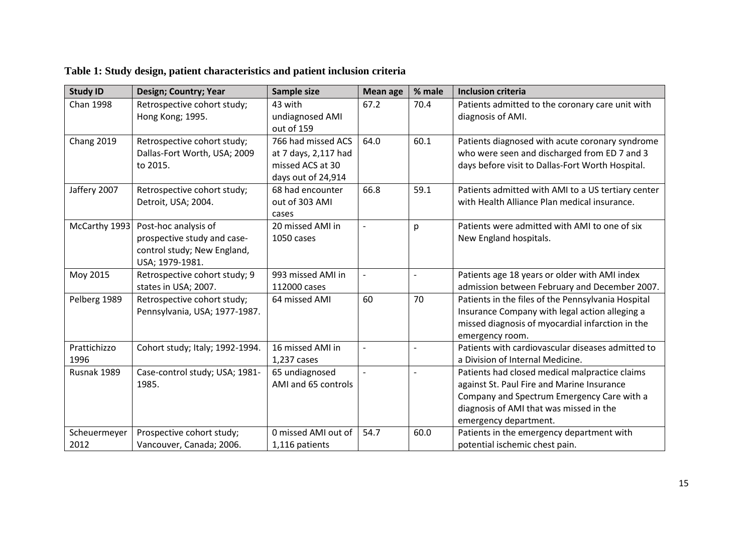| <b>Study ID</b>   | Design; Country; Year                                        | Sample size                              | <b>Mean age</b> | % male         | <b>Inclusion criteria</b>                                                                            |
|-------------------|--------------------------------------------------------------|------------------------------------------|-----------------|----------------|------------------------------------------------------------------------------------------------------|
| <b>Chan 1998</b>  | Retrospective cohort study;<br>Hong Kong; 1995.              | 43 with<br>undiagnosed AMI               | 67.2            | 70.4           | Patients admitted to the coronary care unit with<br>diagnosis of AMI.                                |
|                   |                                                              | out of 159                               |                 |                |                                                                                                      |
| <b>Chang 2019</b> | Retrospective cohort study;                                  | 766 had missed ACS                       | 64.0            | 60.1           | Patients diagnosed with acute coronary syndrome                                                      |
|                   | Dallas-Fort Worth, USA; 2009<br>to 2015.                     | at 7 days, 2,117 had<br>missed ACS at 30 |                 |                | who were seen and discharged from ED 7 and 3<br>days before visit to Dallas-Fort Worth Hospital.     |
|                   |                                                              | days out of 24,914                       |                 |                |                                                                                                      |
| Jaffery 2007      | Retrospective cohort study;                                  | 68 had encounter                         | 66.8            | 59.1           | Patients admitted with AMI to a US tertiary center                                                   |
|                   | Detroit, USA; 2004.                                          | out of 303 AMI                           |                 |                | with Health Alliance Plan medical insurance.                                                         |
| McCarthy 1993     | Post-hoc analysis of                                         | cases<br>20 missed AMI in                |                 | p              | Patients were admitted with AMI to one of six                                                        |
|                   | prospective study and case-                                  | 1050 cases                               |                 |                | New England hospitals.                                                                               |
|                   | control study; New England,                                  |                                          |                 |                |                                                                                                      |
|                   | USA; 1979-1981.                                              |                                          |                 |                |                                                                                                      |
| Moy 2015          | Retrospective cohort study; 9                                | 993 missed AMI in                        |                 | $\blacksquare$ | Patients age 18 years or older with AMI index                                                        |
|                   | states in USA; 2007.                                         | 112000 cases                             |                 |                | admission between February and December 2007.                                                        |
| Pelberg 1989      | Retrospective cohort study;<br>Pennsylvania, USA; 1977-1987. | 64 missed AMI                            | 60              | 70             | Patients in the files of the Pennsylvania Hospital<br>Insurance Company with legal action alleging a |
|                   |                                                              |                                          |                 |                | missed diagnosis of myocardial infarction in the                                                     |
|                   |                                                              |                                          |                 |                | emergency room.                                                                                      |
| Prattichizzo      | Cohort study; Italy; 1992-1994.                              | 16 missed AMI in                         |                 | $\overline{a}$ | Patients with cardiovascular diseases admitted to                                                    |
| 1996              |                                                              | 1,237 cases                              |                 |                | a Division of Internal Medicine.                                                                     |
| Rusnak 1989       | Case-control study; USA; 1981-                               | 65 undiagnosed                           |                 | $\overline{a}$ | Patients had closed medical malpractice claims                                                       |
|                   | 1985.                                                        | AMI and 65 controls                      |                 |                | against St. Paul Fire and Marine Insurance                                                           |
|                   |                                                              |                                          |                 |                | Company and Spectrum Emergency Care with a                                                           |
|                   |                                                              |                                          |                 |                | diagnosis of AMI that was missed in the                                                              |
|                   |                                                              |                                          |                 |                | emergency department.                                                                                |
| Scheuermeyer      | Prospective cohort study;                                    | 0 missed AMI out of                      | 54.7            | 60.0           | Patients in the emergency department with                                                            |
| 2012              | Vancouver, Canada; 2006.                                     | 1,116 patients                           |                 |                | potential ischemic chest pain.                                                                       |

**Table 1: Study design, patient characteristics and patient inclusion criteria**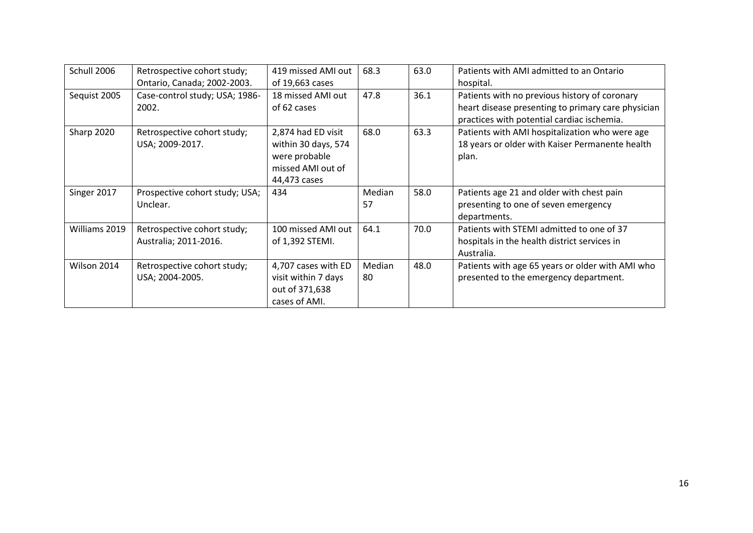| Schull 2006   | Retrospective cohort study;    | 419 missed AMI out  | 68.3   | 63.0 | Patients with AMI admitted to an Ontario           |
|---------------|--------------------------------|---------------------|--------|------|----------------------------------------------------|
|               | Ontario, Canada; 2002-2003.    | of 19,663 cases     |        |      | hospital.                                          |
| Sequist 2005  | Case-control study; USA; 1986- | 18 missed AMI out   | 47.8   | 36.1 | Patients with no previous history of coronary      |
|               | 2002.                          | of 62 cases         |        |      | heart disease presenting to primary care physician |
|               |                                |                     |        |      | practices with potential cardiac ischemia.         |
| Sharp 2020    | Retrospective cohort study;    | 2,874 had ED visit  | 68.0   | 63.3 | Patients with AMI hospitalization who were age     |
|               | USA; 2009-2017.                | within 30 days, 574 |        |      | 18 years or older with Kaiser Permanente health    |
|               |                                | were probable       |        |      | plan.                                              |
|               |                                | missed AMI out of   |        |      |                                                    |
|               |                                | 44,473 cases        |        |      |                                                    |
| Singer 2017   | Prospective cohort study; USA; | 434                 | Median | 58.0 | Patients age 21 and older with chest pain          |
|               | Unclear.                       |                     | 57     |      | presenting to one of seven emergency               |
|               |                                |                     |        |      | departments.                                       |
| Williams 2019 | Retrospective cohort study;    | 100 missed AMI out  | 64.1   | 70.0 | Patients with STEMI admitted to one of 37          |
|               | Australia; 2011-2016.          | of 1,392 STEMI.     |        |      | hospitals in the health district services in       |
|               |                                |                     |        |      | Australia.                                         |
| Wilson 2014   | Retrospective cohort study;    | 4,707 cases with ED | Median | 48.0 | Patients with age 65 years or older with AMI who   |
|               | USA; 2004-2005.                | visit within 7 days | 80     |      | presented to the emergency department.             |
|               |                                | out of 371,638      |        |      |                                                    |
|               |                                | cases of AMI.       |        |      |                                                    |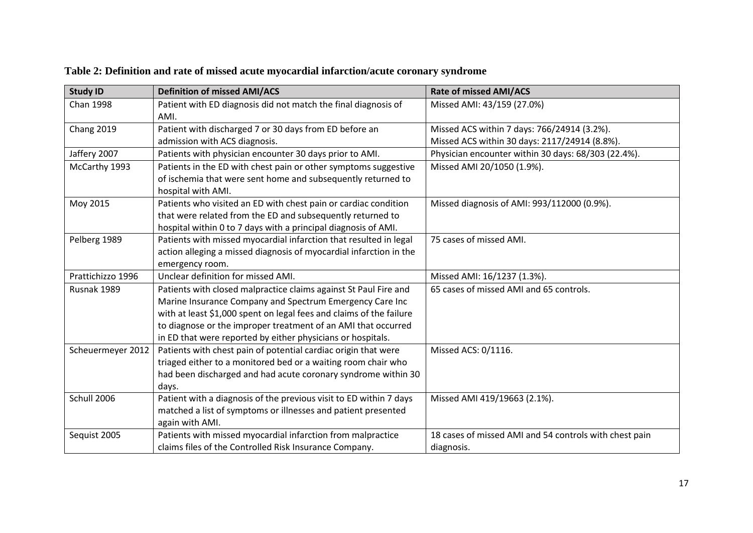| <b>Study ID</b>   | <b>Definition of missed AMI/ACS</b>                                 | <b>Rate of missed AMI/ACS</b>                          |
|-------------------|---------------------------------------------------------------------|--------------------------------------------------------|
| Chan 1998         | Patient with ED diagnosis did not match the final diagnosis of      | Missed AMI: 43/159 (27.0%)                             |
|                   | AMI.                                                                |                                                        |
| Chang 2019        | Patient with discharged 7 or 30 days from ED before an              | Missed ACS within 7 days: 766/24914 (3.2%).            |
|                   | admission with ACS diagnosis.                                       | Missed ACS within 30 days: 2117/24914 (8.8%).          |
| Jaffery 2007      | Patients with physician encounter 30 days prior to AMI.             | Physician encounter within 30 days: 68/303 (22.4%).    |
| McCarthy 1993     | Patients in the ED with chest pain or other symptoms suggestive     | Missed AMI 20/1050 (1.9%).                             |
|                   | of ischemia that were sent home and subsequently returned to        |                                                        |
|                   | hospital with AMI.                                                  |                                                        |
| Moy 2015          | Patients who visited an ED with chest pain or cardiac condition     | Missed diagnosis of AMI: 993/112000 (0.9%).            |
|                   | that were related from the ED and subsequently returned to          |                                                        |
|                   | hospital within 0 to 7 days with a principal diagnosis of AMI.      |                                                        |
| Pelberg 1989      | Patients with missed myocardial infarction that resulted in legal   | 75 cases of missed AMI.                                |
|                   | action alleging a missed diagnosis of myocardial infarction in the  |                                                        |
|                   | emergency room.                                                     |                                                        |
| Prattichizzo 1996 | Unclear definition for missed AMI.                                  | Missed AMI: 16/1237 (1.3%).                            |
| Rusnak 1989       | Patients with closed malpractice claims against St Paul Fire and    | 65 cases of missed AMI and 65 controls.                |
|                   | Marine Insurance Company and Spectrum Emergency Care Inc            |                                                        |
|                   | with at least \$1,000 spent on legal fees and claims of the failure |                                                        |
|                   | to diagnose or the improper treatment of an AMI that occurred       |                                                        |
|                   | in ED that were reported by either physicians or hospitals.         |                                                        |
| Scheuermeyer 2012 | Patients with chest pain of potential cardiac origin that were      | Missed ACS: 0/1116.                                    |
|                   | triaged either to a monitored bed or a waiting room chair who       |                                                        |
|                   | had been discharged and had acute coronary syndrome within 30       |                                                        |
|                   | days.                                                               |                                                        |
| Schull 2006       | Patient with a diagnosis of the previous visit to ED within 7 days  | Missed AMI 419/19663 (2.1%).                           |
|                   | matched a list of symptoms or illnesses and patient presented       |                                                        |
|                   | again with AMI.                                                     |                                                        |
| Sequist 2005      | Patients with missed myocardial infarction from malpractice         | 18 cases of missed AMI and 54 controls with chest pain |
|                   | claims files of the Controlled Risk Insurance Company.              | diagnosis.                                             |

**Table 2: Definition and rate of missed acute myocardial infarction/acute coronary syndrome**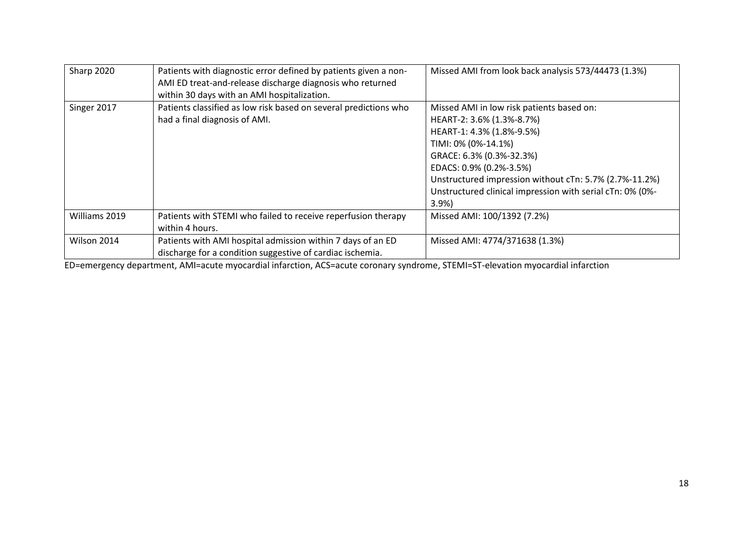| Sharp 2020    | Patients with diagnostic error defined by patients given a non-<br>AMI ED treat-and-release discharge diagnosis who returned<br>within 30 days with an AMI hospitalization. | Missed AMI from look back analysis 573/44473 (1.3%)                                                                                                                                                                                                                                                              |
|---------------|-----------------------------------------------------------------------------------------------------------------------------------------------------------------------------|------------------------------------------------------------------------------------------------------------------------------------------------------------------------------------------------------------------------------------------------------------------------------------------------------------------|
| Singer 2017   | Patients classified as low risk based on several predictions who<br>had a final diagnosis of AMI.                                                                           | Missed AMI in low risk patients based on:<br>HEART-2: 3.6% (1.3%-8.7%)<br>HEART-1: 4.3% (1.8%-9.5%)<br>TIMI: 0% (0%-14.1%)<br>GRACE: 6.3% (0.3%-32.3%)<br>EDACS: 0.9% (0.2%-3.5%)<br>Unstructured impression without cTn: 5.7% (2.7%-11.2%)<br>Unstructured clinical impression with serial cTn: 0% (0%-<br>3.9% |
| Williams 2019 | Patients with STEMI who failed to receive reperfusion therapy<br>within 4 hours.                                                                                            | Missed AMI: 100/1392 (7.2%)                                                                                                                                                                                                                                                                                      |
| Wilson 2014   | Patients with AMI hospital admission within 7 days of an ED<br>discharge for a condition suggestive of cardiac ischemia.                                                    | Missed AMI: 4774/371638 (1.3%)                                                                                                                                                                                                                                                                                   |

ED=emergency department, AMI=acute myocardial infarction, ACS=acute coronary syndrome, STEMI=ST-elevation myocardial infarction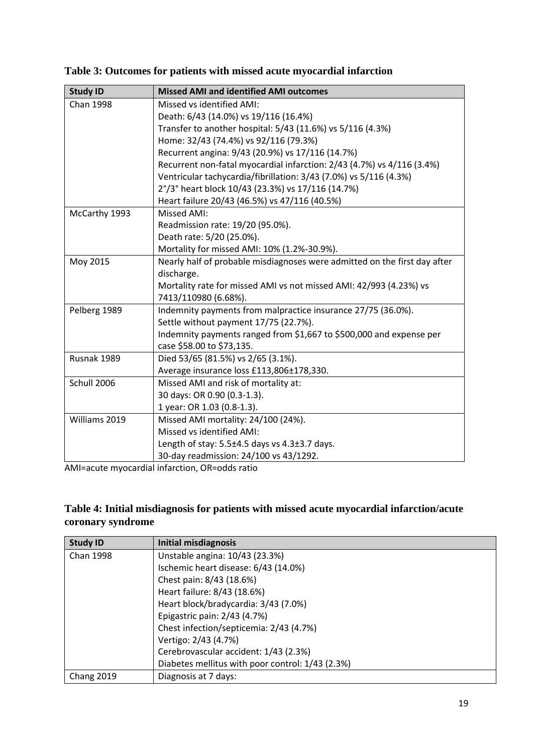|  |  |  |  | Table 3: Outcomes for patients with missed acute myocardial infarction |  |
|--|--|--|--|------------------------------------------------------------------------|--|
|  |  |  |  |                                                                        |  |

| <b>Study ID</b>  | <b>Missed AMI and identified AMI outcomes</b>                             |
|------------------|---------------------------------------------------------------------------|
| <b>Chan 1998</b> | Missed vs identified AMI:                                                 |
|                  | Death: 6/43 (14.0%) vs 19/116 (16.4%)                                     |
|                  | Transfer to another hospital: 5/43 (11.6%) vs 5/116 (4.3%)                |
|                  | Home: 32/43 (74.4%) vs 92/116 (79.3%)                                     |
|                  | Recurrent angina: 9/43 (20.9%) vs 17/116 (14.7%)                          |
|                  | Recurrent non-fatal myocardial infarction: 2/43 (4.7%) vs 4/116 (3.4%)    |
|                  | Ventricular tachycardia/fibrillation: 3/43 (7.0%) vs 5/116 (4.3%)         |
|                  | 2°/3° heart block 10/43 (23.3%) vs 17/116 (14.7%)                         |
|                  | Heart failure 20/43 (46.5%) vs 47/116 (40.5%)                             |
| McCarthy 1993    | Missed AMI:                                                               |
|                  | Readmission rate: 19/20 (95.0%).                                          |
|                  | Death rate: 5/20 (25.0%).                                                 |
|                  | Mortality for missed AMI: 10% (1.2%-30.9%).                               |
| Moy 2015         | Nearly half of probable misdiagnoses were admitted on the first day after |
|                  | discharge.                                                                |
|                  | Mortality rate for missed AMI vs not missed AMI: 42/993 (4.23%) vs        |
|                  | 7413/110980 (6.68%).                                                      |
| Pelberg 1989     | Indemnity payments from malpractice insurance 27/75 (36.0%).              |
|                  | Settle without payment 17/75 (22.7%).                                     |
|                  | Indemnity payments ranged from \$1,667 to \$500,000 and expense per       |
|                  | case \$58.00 to \$73,135.                                                 |
| Rusnak 1989      | Died 53/65 (81.5%) vs 2/65 (3.1%).                                        |
|                  | Average insurance loss £113,806±178,330.                                  |
| Schull 2006      | Missed AMI and risk of mortality at:                                      |
|                  | 30 days: OR 0.90 (0.3-1.3).                                               |
|                  | 1 year: OR 1.03 (0.8-1.3).                                                |
| Williams 2019    | Missed AMI mortality: 24/100 (24%).                                       |
|                  | Missed vs identified AMI:                                                 |
|                  | Length of stay: 5.5±4.5 days vs 4.3±3.7 days.                             |
|                  | 30-day readmission: 24/100 vs 43/1292.                                    |

AMI=acute myocardial infarction, OR=odds ratio

# **Table 4: Initial misdiagnosis for patients with missed acute myocardial infarction/acute coronary syndrome**

| <b>Study ID</b>   | <b>Initial misdiagnosis</b>                      |
|-------------------|--------------------------------------------------|
| <b>Chan 1998</b>  | Unstable angina: 10/43 (23.3%)                   |
|                   | Ischemic heart disease: 6/43 (14.0%)             |
|                   | Chest pain: 8/43 (18.6%)                         |
|                   | Heart failure: 8/43 (18.6%)                      |
|                   | Heart block/bradycardia: 3/43 (7.0%)             |
|                   | Epigastric pain: 2/43 (4.7%)                     |
|                   | Chest infection/septicemia: 2/43 (4.7%)          |
|                   | Vertigo: 2/43 (4.7%)                             |
|                   | Cerebrovascular accident: 1/43 (2.3%)            |
|                   | Diabetes mellitus with poor control: 1/43 (2.3%) |
| <b>Chang 2019</b> | Diagnosis at 7 days:                             |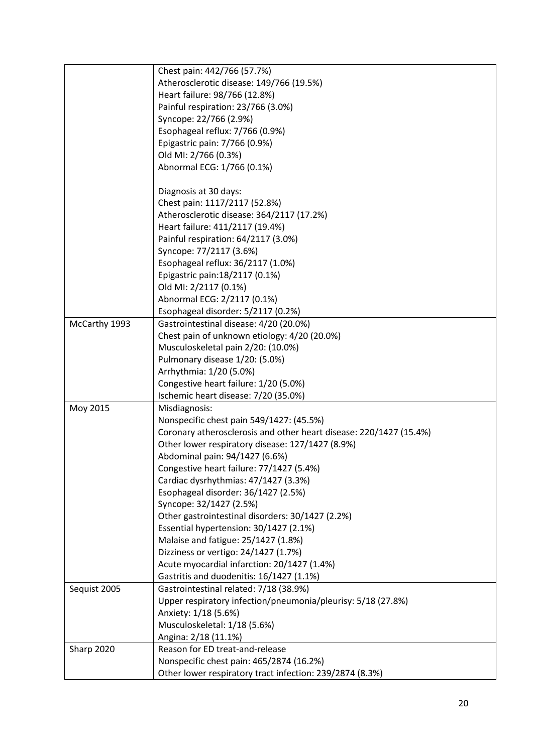|               | Chest pain: 442/766 (57.7%)                                        |
|---------------|--------------------------------------------------------------------|
|               | Atherosclerotic disease: 149/766 (19.5%)                           |
|               | Heart failure: 98/766 (12.8%)                                      |
|               | Painful respiration: 23/766 (3.0%)                                 |
|               | Syncope: 22/766 (2.9%)                                             |
|               | Esophageal reflux: 7/766 (0.9%)                                    |
|               | Epigastric pain: 7/766 (0.9%)                                      |
|               | Old MI: 2/766 (0.3%)                                               |
|               | Abnormal ECG: 1/766 (0.1%)                                         |
|               |                                                                    |
|               | Diagnosis at 30 days:                                              |
|               | Chest pain: 1117/2117 (52.8%)                                      |
|               | Atherosclerotic disease: 364/2117 (17.2%)                          |
|               | Heart failure: 411/2117 (19.4%)                                    |
|               | Painful respiration: 64/2117 (3.0%)                                |
|               | Syncope: 77/2117 (3.6%)                                            |
|               | Esophageal reflux: 36/2117 (1.0%)                                  |
|               | Epigastric pain: 18/2117 (0.1%)                                    |
|               | Old MI: 2/2117 (0.1%)                                              |
|               | Abnormal ECG: 2/2117 (0.1%)                                        |
|               | Esophageal disorder: 5/2117 (0.2%)                                 |
| McCarthy 1993 | Gastrointestinal disease: 4/20 (20.0%)                             |
|               | Chest pain of unknown etiology: 4/20 (20.0%)                       |
|               | Musculoskeletal pain 2/20: (10.0%)                                 |
|               |                                                                    |
|               | Pulmonary disease 1/20: (5.0%)                                     |
|               | Arrhythmia: 1/20 (5.0%)                                            |
|               | Congestive heart failure: 1/20 (5.0%)                              |
|               | Ischemic heart disease: 7/20 (35.0%)                               |
| Moy 2015      | Misdiagnosis:                                                      |
|               | Nonspecific chest pain 549/1427: (45.5%)                           |
|               | Coronary atherosclerosis and other heart disease: 220/1427 (15.4%) |
|               | Other lower respiratory disease: 127/1427 (8.9%)                   |
|               | Abdominal pain: 94/1427 (6.6%)                                     |
|               | Congestive heart failure: 77/1427 (5.4%)                           |
|               | Cardiac dysrhythmias: 47/1427 (3.3%)                               |
|               | Esophageal disorder: 36/1427 (2.5%)                                |
|               | Syncope: 32/1427 (2.5%)                                            |
|               | Other gastrointestinal disorders: 30/1427 (2.2%)                   |
|               | Essential hypertension: 30/1427 (2.1%)                             |
|               | Malaise and fatigue: 25/1427 (1.8%)                                |
|               | Dizziness or vertigo: 24/1427 (1.7%)                               |
|               | Acute myocardial infarction: 20/1427 (1.4%)                        |
|               | Gastritis and duodenitis: 16/1427 (1.1%)                           |
| Sequist 2005  | Gastrointestinal related: 7/18 (38.9%)                             |
|               | Upper respiratory infection/pneumonia/pleurisy: 5/18 (27.8%)       |
|               | Anxiety: 1/18 (5.6%)                                               |
|               | Musculoskeletal: 1/18 (5.6%)                                       |
|               | Angina: 2/18 (11.1%)                                               |
| Sharp 2020    | Reason for ED treat-and-release                                    |
|               | Nonspecific chest pain: 465/2874 (16.2%)                           |
|               | Other lower respiratory tract infection: 239/2874 (8.3%)           |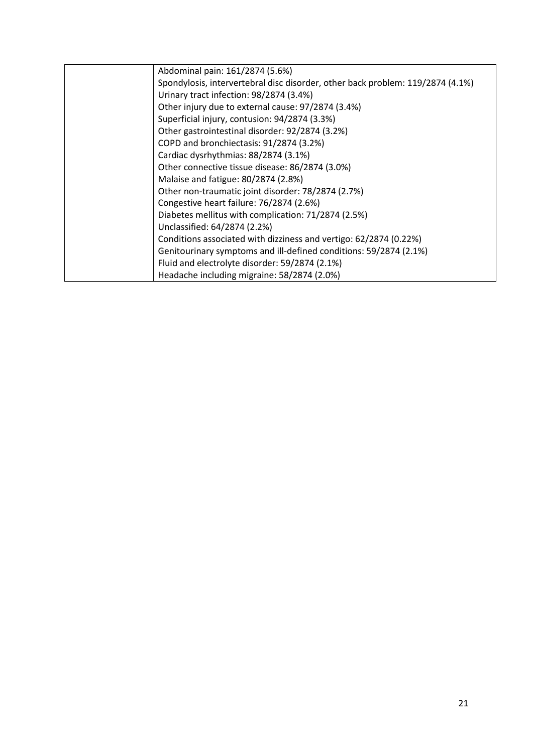| Abdominal pain: 161/2874 (5.6%)                                                |
|--------------------------------------------------------------------------------|
| Spondylosis, intervertebral disc disorder, other back problem: 119/2874 (4.1%) |
| Urinary tract infection: 98/2874 (3.4%)                                        |
| Other injury due to external cause: 97/2874 (3.4%)                             |
| Superficial injury, contusion: 94/2874 (3.3%)                                  |
| Other gastrointestinal disorder: 92/2874 (3.2%)                                |
| COPD and bronchiectasis: 91/2874 (3.2%)                                        |
| Cardiac dysrhythmias: 88/2874 (3.1%)                                           |
| Other connective tissue disease: 86/2874 (3.0%)                                |
| Malaise and fatigue: 80/2874 (2.8%)                                            |
| Other non-traumatic joint disorder: 78/2874 (2.7%)                             |
| Congestive heart failure: 76/2874 (2.6%)                                       |
| Diabetes mellitus with complication: 71/2874 (2.5%)                            |
| Unclassified: 64/2874 (2.2%)                                                   |
| Conditions associated with dizziness and vertigo: 62/2874 (0.22%)              |
| Genitourinary symptoms and ill-defined conditions: 59/2874 (2.1%)              |
| Fluid and electrolyte disorder: 59/2874 (2.1%)                                 |
| Headache including migraine: 58/2874 (2.0%)                                    |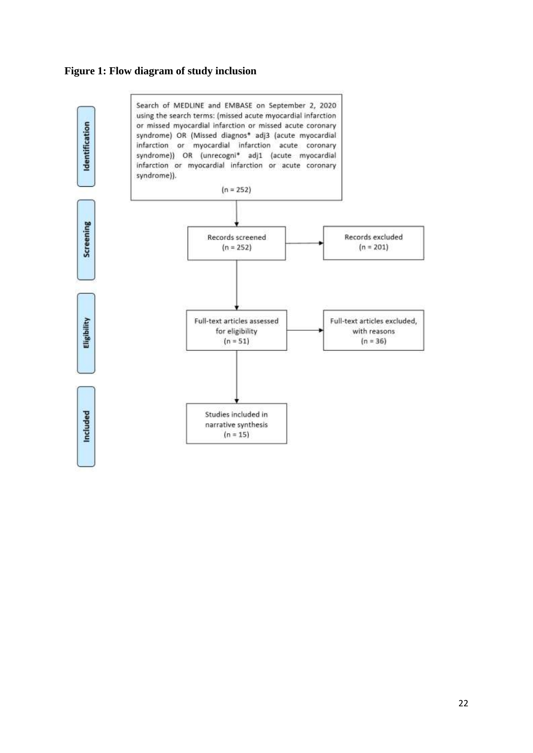# **Figure 1: Flow diagram of study inclusion**

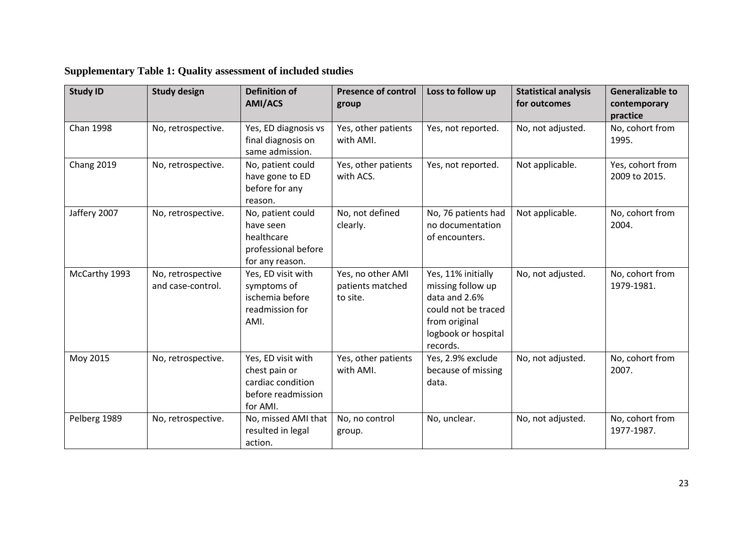| <b>Study ID</b> | <b>Study design</b>                    | <b>Definition of</b><br><b>AMI/ACS</b>                                                     | <b>Presence of control</b><br>group               | Loss to follow up                                                                                                                   | <b>Statistical analysis</b><br>for outcomes | <b>Generalizable to</b><br>contemporary<br>practice |
|-----------------|----------------------------------------|--------------------------------------------------------------------------------------------|---------------------------------------------------|-------------------------------------------------------------------------------------------------------------------------------------|---------------------------------------------|-----------------------------------------------------|
| Chan 1998       | No, retrospective.                     | Yes, ED diagnosis vs<br>final diagnosis on<br>same admission.                              | Yes, other patients<br>with AMI.                  | Yes, not reported.                                                                                                                  | No, not adjusted.                           | No, cohort from<br>1995.                            |
| Chang 2019      | No, retrospective.                     | No, patient could<br>have gone to ED<br>before for any<br>reason.                          | Yes, other patients<br>with ACS.                  | Yes, not reported.                                                                                                                  | Not applicable.                             | Yes, cohort from<br>2009 to 2015.                   |
| Jaffery 2007    | No, retrospective.                     | No, patient could<br>have seen<br>healthcare<br>professional before<br>for any reason.     | No, not defined<br>clearly.                       | No, 76 patients had<br>no documentation<br>of encounters.                                                                           | Not applicable.                             | No, cohort from<br>2004.                            |
| McCarthy 1993   | No, retrospective<br>and case-control. | Yes, ED visit with<br>symptoms of<br>ischemia before<br>readmission for<br>AMI.            | Yes, no other AMI<br>patients matched<br>to site. | Yes, 11% initially<br>missing follow up<br>data and 2.6%<br>could not be traced<br>from original<br>logbook or hospital<br>records. | No, not adjusted.                           | No, cohort from<br>1979-1981.                       |
| Moy 2015        | No, retrospective.                     | Yes, ED visit with<br>chest pain or<br>cardiac condition<br>before readmission<br>for AMI. | Yes, other patients<br>with AMI.                  | Yes, 2.9% exclude<br>because of missing<br>data.                                                                                    | No, not adjusted.                           | No, cohort from<br>2007.                            |
| Pelberg 1989    | No, retrospective.                     | No, missed AMI that<br>resulted in legal<br>action.                                        | No, no control<br>group.                          | No, unclear.                                                                                                                        | No, not adjusted.                           | No, cohort from<br>1977-1987.                       |

# **Supplementary Table 1: Quality assessment of included studies**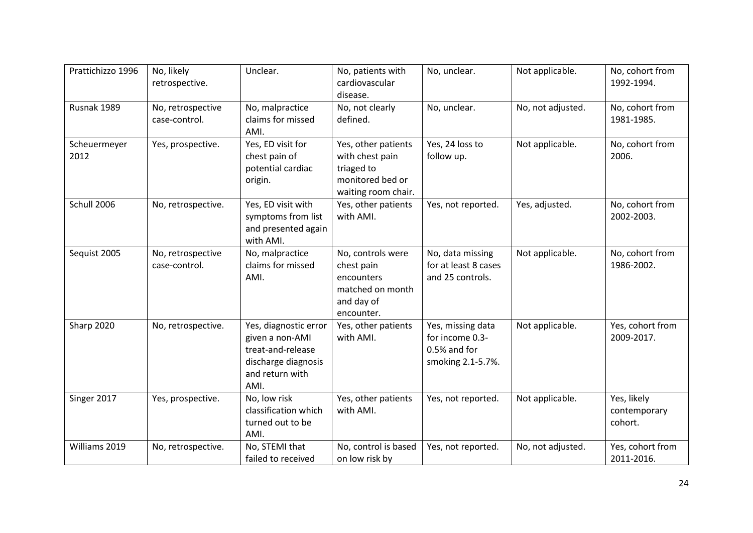| Prattichizzo 1996    | No, likely<br>retrospective.       | Unclear.                                                                                                        | No, patients with<br>cardiovascular<br>disease.                                                 | No, unclear.                                                              | Not applicable.   | No, cohort from<br>1992-1994.          |
|----------------------|------------------------------------|-----------------------------------------------------------------------------------------------------------------|-------------------------------------------------------------------------------------------------|---------------------------------------------------------------------------|-------------------|----------------------------------------|
| Rusnak 1989          | No, retrospective<br>case-control. | No, malpractice<br>claims for missed<br>AMI.                                                                    | No, not clearly<br>defined.                                                                     | No, unclear.                                                              | No, not adjusted. | No, cohort from<br>1981-1985.          |
| Scheuermeyer<br>2012 | Yes, prospective.                  | Yes, ED visit for<br>chest pain of<br>potential cardiac<br>origin.                                              | Yes, other patients<br>with chest pain<br>triaged to<br>monitored bed or<br>waiting room chair. | Yes, 24 loss to<br>follow up.                                             | Not applicable.   | No, cohort from<br>2006.               |
| Schull 2006          | No, retrospective.                 | Yes, ED visit with<br>symptoms from list<br>and presented again<br>with AMI.                                    | Yes, other patients<br>with AMI.                                                                | Yes, not reported.                                                        | Yes, adjusted.    | No, cohort from<br>2002-2003.          |
| Sequist 2005         | No, retrospective<br>case-control. | No, malpractice<br>claims for missed<br>AMI.                                                                    | No, controls were<br>chest pain<br>encounters<br>matched on month<br>and day of<br>encounter.   | No, data missing<br>for at least 8 cases<br>and 25 controls.              | Not applicable.   | No, cohort from<br>1986-2002.          |
| Sharp 2020           | No, retrospective.                 | Yes, diagnostic error<br>given a non-AMI<br>treat-and-release<br>discharge diagnosis<br>and return with<br>AMI. | Yes, other patients<br>with AMI.                                                                | Yes, missing data<br>for income 0.3-<br>0.5% and for<br>smoking 2.1-5.7%. | Not applicable.   | Yes, cohort from<br>2009-2017.         |
| Singer 2017          | Yes, prospective.                  | No, low risk<br>classification which<br>turned out to be<br>AMI.                                                | Yes, other patients<br>with AMI.                                                                | Yes, not reported.                                                        | Not applicable.   | Yes, likely<br>contemporary<br>cohort. |
| Williams 2019        | No, retrospective.                 | No, STEMI that<br>failed to received                                                                            | No, control is based<br>on low risk by                                                          | Yes, not reported.                                                        | No, not adjusted. | Yes, cohort from<br>2011-2016.         |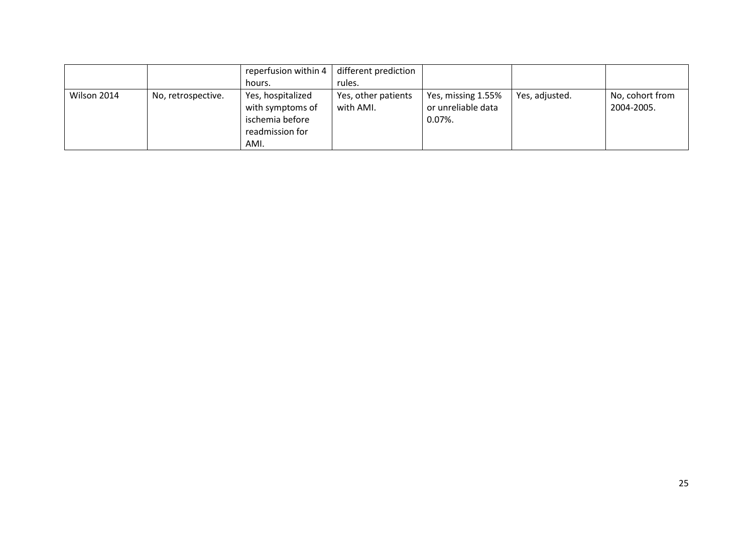|             |                    | reperfusion within 4                                                                | different prediction             |                                                        |                |                               |
|-------------|--------------------|-------------------------------------------------------------------------------------|----------------------------------|--------------------------------------------------------|----------------|-------------------------------|
|             |                    | hours.                                                                              | rules.                           |                                                        |                |                               |
| Wilson 2014 | No, retrospective. | Yes, hospitalized<br>with symptoms of<br>ischemia before<br>readmission for<br>AMI. | Yes, other patients<br>with AMI. | Yes, missing 1.55%<br>or unreliable data<br>$0.07\%$ . | Yes, adjusted. | No, cohort from<br>2004-2005. |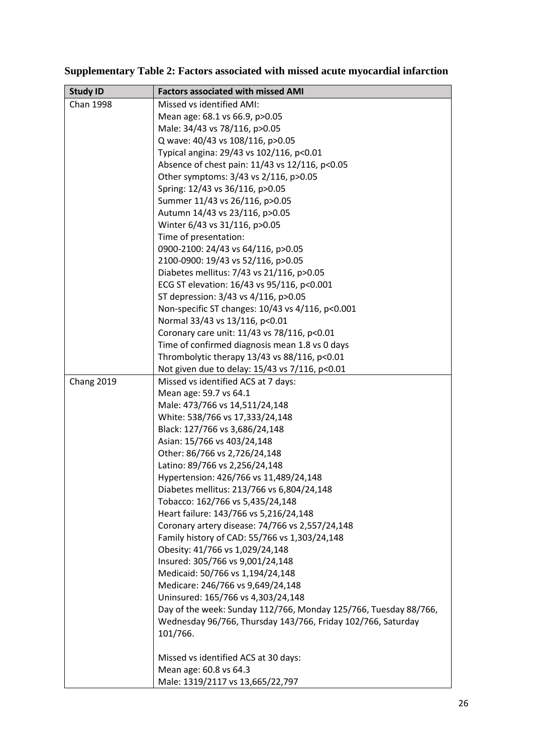# **Supplementary Table 2: Factors associated with missed acute myocardial infarction**

| <b>Study ID</b>   | <b>Factors associated with missed AMI</b>                                                        |
|-------------------|--------------------------------------------------------------------------------------------------|
| <b>Chan 1998</b>  | Missed vs identified AMI:                                                                        |
|                   | Mean age: 68.1 vs 66.9, p>0.05                                                                   |
|                   | Male: 34/43 vs 78/116, p>0.05                                                                    |
|                   | Q wave: 40/43 vs 108/116, p>0.05                                                                 |
|                   | Typical angina: 29/43 vs 102/116, p<0.01                                                         |
|                   | Absence of chest pain: 11/43 vs 12/116, p<0.05                                                   |
|                   | Other symptoms: 3/43 vs 2/116, p>0.05                                                            |
|                   | Spring: 12/43 vs 36/116, p>0.05                                                                  |
|                   | Summer 11/43 vs 26/116, p>0.05                                                                   |
|                   | Autumn 14/43 vs 23/116, p>0.05                                                                   |
|                   | Winter 6/43 vs 31/116, p>0.05                                                                    |
|                   | Time of presentation:                                                                            |
|                   | 0900-2100: 24/43 vs 64/116, p>0.05                                                               |
|                   | 2100-0900: 19/43 vs 52/116, p>0.05                                                               |
|                   | Diabetes mellitus: 7/43 vs 21/116, p>0.05                                                        |
|                   | ECG ST elevation: 16/43 vs 95/116, p<0.001                                                       |
|                   | ST depression: 3/43 vs 4/116, p>0.05                                                             |
|                   | Non-specific ST changes: 10/43 vs 4/116, p<0.001                                                 |
|                   | Normal 33/43 vs 13/116, p<0.01                                                                   |
|                   | Coronary care unit: 11/43 vs 78/116, p<0.01                                                      |
|                   | Time of confirmed diagnosis mean 1.8 vs 0 days                                                   |
|                   | Thrombolytic therapy 13/43 vs 88/116, p<0.01                                                     |
|                   | Not given due to delay: 15/43 vs 7/116, p<0.01                                                   |
| <b>Chang 2019</b> | Missed vs identified ACS at 7 days:                                                              |
|                   | Mean age: 59.7 vs 64.1                                                                           |
|                   | Male: 473/766 vs 14,511/24,148                                                                   |
|                   | White: 538/766 vs 17,333/24,148                                                                  |
|                   | Black: 127/766 vs 3,686/24,148                                                                   |
|                   | Asian: 15/766 vs 403/24,148                                                                      |
|                   | Other: 86/766 vs 2,726/24,148                                                                    |
|                   | Latino: 89/766 vs 2,256/24,148                                                                   |
|                   | Hypertension: 426/766 vs 11,489/24,148                                                           |
|                   | Diabetes mellitus: 213/766 vs 6,804/24,148                                                       |
|                   | Tobacco: 162/766 vs 5,435/24,148                                                                 |
|                   | Heart failure: 143/766 vs 5,216/24,148                                                           |
|                   | Coronary artery disease: 74/766 vs 2,557/24,148<br>Family history of CAD: 55/766 vs 1,303/24,148 |
|                   | Obesity: 41/766 vs 1,029/24,148                                                                  |
|                   | Insured: 305/766 vs 9,001/24,148                                                                 |
|                   | Medicaid: 50/766 vs 1,194/24,148                                                                 |
|                   | Medicare: 246/766 vs 9,649/24,148                                                                |
|                   | Uninsured: 165/766 vs 4,303/24,148                                                               |
|                   | Day of the week: Sunday 112/766, Monday 125/766, Tuesday 88/766,                                 |
|                   | Wednesday 96/766, Thursday 143/766, Friday 102/766, Saturday                                     |
|                   | 101/766.                                                                                         |
|                   | Missed vs identified ACS at 30 days:                                                             |
|                   | Mean age: 60.8 vs 64.3                                                                           |
|                   | Male: 1319/2117 vs 13,665/22,797                                                                 |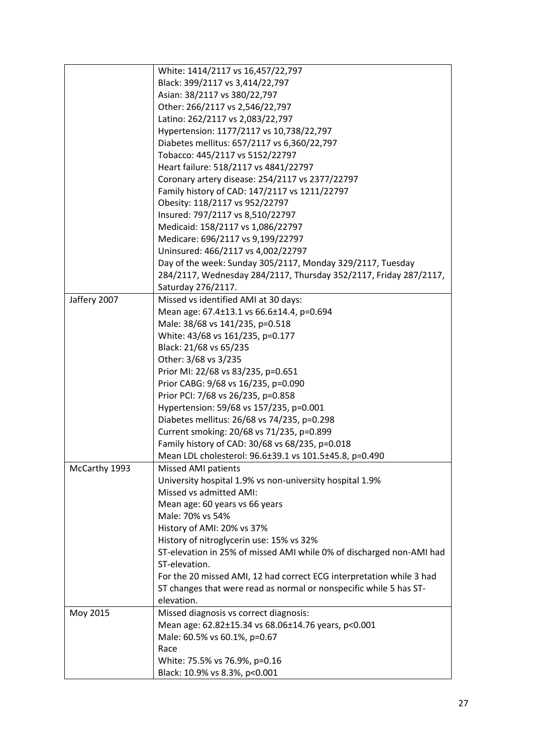|               | White: 1414/2117 vs 16,457/22,797                                    |
|---------------|----------------------------------------------------------------------|
|               | Black: 399/2117 vs 3,414/22,797                                      |
|               | Asian: 38/2117 vs 380/22,797                                         |
|               | Other: 266/2117 vs 2,546/22,797                                      |
|               | Latino: 262/2117 vs 2,083/22,797                                     |
|               | Hypertension: 1177/2117 vs 10,738/22,797                             |
|               | Diabetes mellitus: 657/2117 vs 6,360/22,797                          |
|               | Tobacco: 445/2117 vs 5152/22797                                      |
|               | Heart failure: 518/2117 vs 4841/22797                                |
|               | Coronary artery disease: 254/2117 vs 2377/22797                      |
|               | Family history of CAD: 147/2117 vs 1211/22797                        |
|               | Obesity: 118/2117 vs 952/22797                                       |
|               | Insured: 797/2117 vs 8,510/22797                                     |
|               | Medicaid: 158/2117 vs 1,086/22797                                    |
|               | Medicare: 696/2117 vs 9,199/22797                                    |
|               | Uninsured: 466/2117 vs 4,002/22797                                   |
|               | Day of the week: Sunday 305/2117, Monday 329/2117, Tuesday           |
|               | 284/2117, Wednesday 284/2117, Thursday 352/2117, Friday 287/2117,    |
|               | Saturday 276/2117.                                                   |
| Jaffery 2007  | Missed vs identified AMI at 30 days:                                 |
|               | Mean age: 67.4±13.1 vs 66.6±14.4, p=0.694                            |
|               | Male: 38/68 vs 141/235, p=0.518                                      |
|               | White: 43/68 vs 161/235, p=0.177                                     |
|               | Black: 21/68 vs 65/235                                               |
|               | Other: 3/68 vs 3/235                                                 |
|               | Prior MI: 22/68 vs 83/235, p=0.651                                   |
|               | Prior CABG: 9/68 vs 16/235, p=0.090                                  |
|               | Prior PCI: 7/68 vs 26/235, p=0.858                                   |
|               | Hypertension: 59/68 vs 157/235, p=0.001                              |
|               | Diabetes mellitus: 26/68 vs 74/235, p=0.298                          |
|               | Current smoking: 20/68 vs 71/235, p=0.899                            |
|               | Family history of CAD: 30/68 vs 68/235, p=0.018                      |
|               | Mean LDL cholesterol: 96.6±39.1 vs 101.5±45.8, p=0.490               |
| McCarthy 1993 | Missed AMI patients                                                  |
|               | University hospital 1.9% vs non-university hospital 1.9%             |
|               | Missed vs admitted AMI:                                              |
|               | Mean age: 60 years vs 66 years                                       |
|               | Male: 70% vs 54%                                                     |
|               | History of AMI: 20% vs 37%                                           |
|               | History of nitroglycerin use: 15% vs 32%                             |
|               | ST-elevation in 25% of missed AMI while 0% of discharged non-AMI had |
|               | ST-elevation.                                                        |
|               | For the 20 missed AMI, 12 had correct ECG interpretation while 3 had |
|               | ST changes that were read as normal or nonspecific while 5 has ST-   |
|               | elevation.                                                           |
| Moy 2015      | Missed diagnosis vs correct diagnosis:                               |
|               | Mean age: 62.82±15.34 vs 68.06±14.76 years, p<0.001                  |
|               | Male: 60.5% vs 60.1%, p=0.67                                         |
|               | Race                                                                 |
|               | White: 75.5% vs 76.9%, p=0.16                                        |
|               | Black: 10.9% vs 8.3%, p<0.001                                        |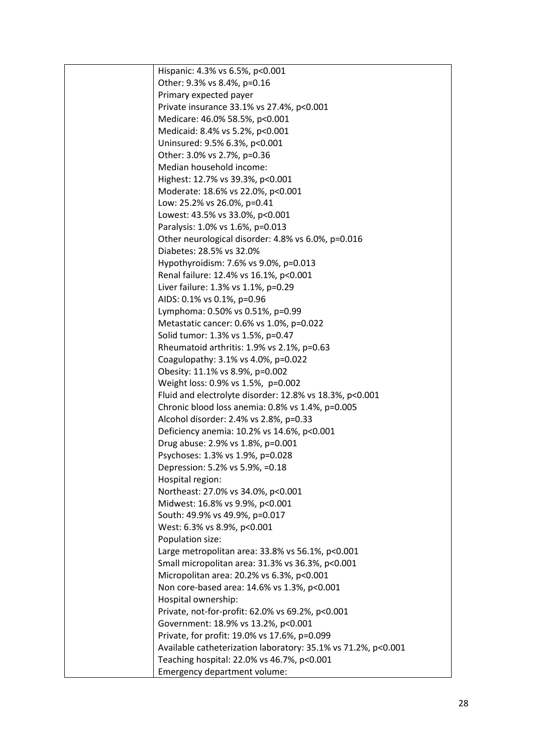| Hispanic: 4.3% vs 6.5%, p<0.001                               |
|---------------------------------------------------------------|
| Other: 9.3% vs 8.4%, p=0.16                                   |
| Primary expected payer                                        |
| Private insurance 33.1% vs 27.4%, p<0.001                     |
| Medicare: 46.0% 58.5%, p<0.001                                |
| Medicaid: 8.4% vs 5.2%, p<0.001                               |
| Uninsured: 9.5% 6.3%, p<0.001                                 |
| Other: 3.0% vs 2.7%, p=0.36                                   |
| Median household income:                                      |
| Highest: 12.7% vs 39.3%, p<0.001                              |
| Moderate: 18.6% vs 22.0%, p<0.001                             |
| Low: 25.2% vs 26.0%, p=0.41                                   |
| Lowest: 43.5% vs 33.0%, p<0.001                               |
| Paralysis: 1.0% vs 1.6%, p=0.013                              |
| Other neurological disorder: 4.8% vs 6.0%, p=0.016            |
| Diabetes: 28.5% vs 32.0%                                      |
| Hypothyroidism: 7.6% vs 9.0%, p=0.013                         |
| Renal failure: 12.4% vs 16.1%, p<0.001                        |
| Liver failure: 1.3% vs 1.1%, p=0.29                           |
| AIDS: 0.1% vs 0.1%, p=0.96                                    |
| Lymphoma: 0.50% vs 0.51%, p=0.99                              |
| Metastatic cancer: 0.6% vs 1.0%, p=0.022                      |
| Solid tumor: 1.3% vs 1.5%, p=0.47                             |
| Rheumatoid arthritis: 1.9% vs 2.1%, p=0.63                    |
| Coagulopathy: 3.1% vs 4.0%, p=0.022                           |
| Obesity: 11.1% vs 8.9%, p=0.002                               |
| Weight loss: 0.9% vs 1.5%, p=0.002                            |
| Fluid and electrolyte disorder: 12.8% vs 18.3%, p<0.001       |
| Chronic blood loss anemia: 0.8% vs 1.4%, p=0.005              |
| Alcohol disorder: 2.4% vs 2.8%, p=0.33                        |
| Deficiency anemia: 10.2% vs 14.6%, p<0.001                    |
| Drug abuse: 2.9% vs 1.8%, p=0.001                             |
| Psychoses: 1.3% vs 1.9%, p=0.028                              |
| Depression: 5.2% vs 5.9%, =0.18                               |
| Hospital region:                                              |
| Northeast: 27.0% vs 34.0%, p<0.001                            |
| Midwest: 16.8% vs 9.9%, p<0.001                               |
| South: 49.9% vs 49.9%, p=0.017                                |
| West: 6.3% vs 8.9%, p<0.001                                   |
| Population size:                                              |
| Large metropolitan area: 33.8% vs 56.1%, p<0.001              |
| Small micropolitan area: 31.3% vs 36.3%, p<0.001              |
| Micropolitan area: 20.2% vs 6.3%, p<0.001                     |
| Non core-based area: 14.6% vs 1.3%, p<0.001                   |
| Hospital ownership:                                           |
| Private, not-for-profit: 62.0% vs 69.2%, p<0.001              |
| Government: 18.9% vs 13.2%, p<0.001                           |
| Private, for profit: 19.0% vs 17.6%, p=0.099                  |
| Available catheterization laboratory: 35.1% vs 71.2%, p<0.001 |
| Teaching hospital: 22.0% vs 46.7%, p<0.001                    |
| Emergency department volume:                                  |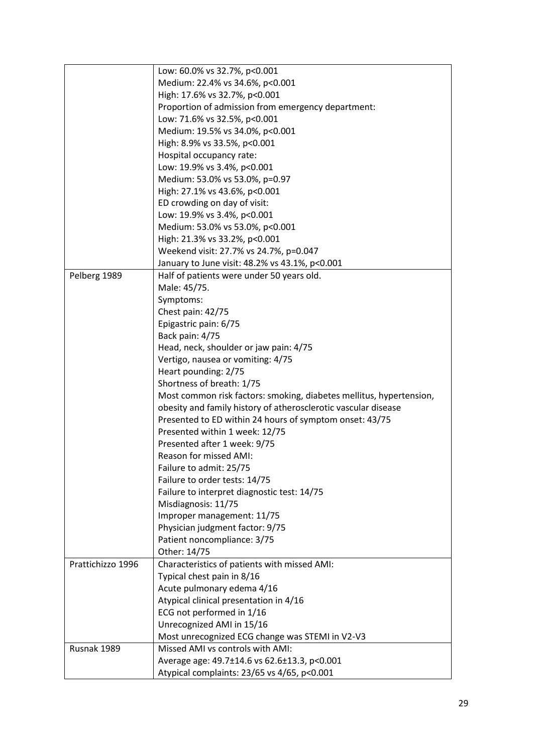|                   | Low: 60.0% vs 32.7%, p<0.001                                        |
|-------------------|---------------------------------------------------------------------|
|                   | Medium: 22.4% vs 34.6%, p<0.001                                     |
|                   | High: 17.6% vs 32.7%, p<0.001                                       |
|                   | Proportion of admission from emergency department:                  |
|                   | Low: 71.6% vs 32.5%, p<0.001                                        |
|                   | Medium: 19.5% vs 34.0%, p<0.001                                     |
|                   | High: 8.9% vs 33.5%, p<0.001                                        |
|                   |                                                                     |
|                   | Hospital occupancy rate:                                            |
|                   | Low: 19.9% vs 3.4%, p<0.001                                         |
|                   | Medium: 53.0% vs 53.0%, p=0.97                                      |
|                   | High: 27.1% vs 43.6%, p<0.001                                       |
|                   | ED crowding on day of visit:                                        |
|                   | Low: 19.9% vs 3.4%, p<0.001                                         |
|                   | Medium: 53.0% vs 53.0%, p<0.001                                     |
|                   | High: 21.3% vs 33.2%, p<0.001                                       |
|                   | Weekend visit: 27.7% vs 24.7%, p=0.047                              |
|                   | January to June visit: 48.2% vs 43.1%, p<0.001                      |
| Pelberg 1989      | Half of patients were under 50 years old.                           |
|                   | Male: 45/75.                                                        |
|                   | Symptoms:                                                           |
|                   | Chest pain: 42/75                                                   |
|                   | Epigastric pain: 6/75                                               |
|                   | Back pain: 4/75                                                     |
|                   | Head, neck, shoulder or jaw pain: 4/75                              |
|                   | Vertigo, nausea or vomiting: 4/75                                   |
|                   | Heart pounding: 2/75                                                |
|                   | Shortness of breath: 1/75                                           |
|                   | Most common risk factors: smoking, diabetes mellitus, hypertension, |
|                   | obesity and family history of atherosclerotic vascular disease      |
|                   | Presented to ED within 24 hours of symptom onset: 43/75             |
|                   | Presented within 1 week: 12/75                                      |
|                   | Presented after 1 week: 9/75                                        |
|                   | Reason for missed AMI:                                              |
|                   | Failure to admit: 25/75                                             |
|                   | Failure to order tests: 14/75                                       |
|                   | Failure to interpret diagnostic test: 14/75                         |
|                   | Misdiagnosis: 11/75                                                 |
|                   |                                                                     |
|                   | Improper management: 11/75<br>Physician judgment factor: 9/75       |
|                   |                                                                     |
|                   | Patient noncompliance: 3/75                                         |
|                   | Other: 14/75                                                        |
| Prattichizzo 1996 | Characteristics of patients with missed AMI:                        |
|                   | Typical chest pain in 8/16                                          |
|                   | Acute pulmonary edema 4/16                                          |
|                   | Atypical clinical presentation in 4/16                              |
|                   | ECG not performed in 1/16                                           |
|                   | Unrecognized AMI in 15/16                                           |
|                   | Most unrecognized ECG change was STEMI in V2-V3                     |
| Rusnak 1989       | Missed AMI vs controls with AMI:                                    |
|                   | Average age: 49.7±14.6 vs 62.6±13.3, p<0.001                        |
|                   | Atypical complaints: 23/65 vs 4/65, p<0.001                         |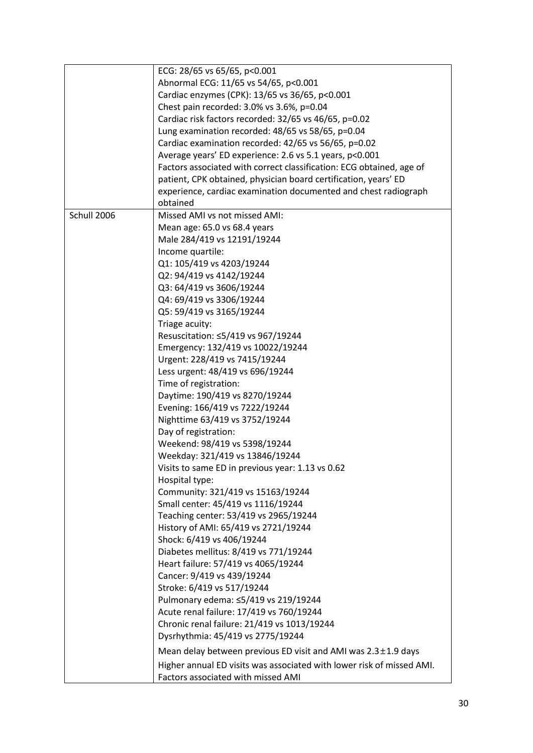|             | ECG: 28/65 vs 65/65, p<0.001                                          |
|-------------|-----------------------------------------------------------------------|
|             | Abnormal ECG: 11/65 vs 54/65, p<0.001                                 |
|             | Cardiac enzymes (CPK): 13/65 vs 36/65, p<0.001                        |
|             | Chest pain recorded: 3.0% vs 3.6%, p=0.04                             |
|             | Cardiac risk factors recorded: 32/65 vs 46/65, p=0.02                 |
|             |                                                                       |
|             | Lung examination recorded: 48/65 vs 58/65, p=0.04                     |
|             | Cardiac examination recorded: 42/65 vs 56/65, p=0.02                  |
|             | Average years' ED experience: 2.6 vs 5.1 years, p<0.001               |
|             | Factors associated with correct classification: ECG obtained, age of  |
|             | patient, CPK obtained, physician board certification, years' ED       |
|             | experience, cardiac examination documented and chest radiograph       |
|             | obtained                                                              |
| Schull 2006 | Missed AMI vs not missed AMI:                                         |
|             | Mean age: 65.0 vs 68.4 years                                          |
|             | Male 284/419 vs 12191/19244                                           |
|             | Income quartile:                                                      |
|             | Q1: 105/419 vs 4203/19244                                             |
|             | Q2: 94/419 vs 4142/19244                                              |
|             | Q3: 64/419 vs 3606/19244                                              |
|             | Q4: 69/419 vs 3306/19244                                              |
|             | Q5: 59/419 vs 3165/19244                                              |
|             | Triage acuity:                                                        |
|             | Resuscitation: ≤5/419 vs 967/19244                                    |
|             | Emergency: 132/419 vs 10022/19244                                     |
|             |                                                                       |
|             | Urgent: 228/419 vs 7415/19244                                         |
|             | Less urgent: 48/419 vs 696/19244                                      |
|             | Time of registration:                                                 |
|             | Daytime: 190/419 vs 8270/19244                                        |
|             | Evening: 166/419 vs 7222/19244                                        |
|             | Nighttime 63/419 vs 3752/19244                                        |
|             | Day of registration:                                                  |
|             | Weekend: 98/419 vs 5398/19244                                         |
|             | Weekday: 321/419 vs 13846/19244                                       |
|             | Visits to same ED in previous year: 1.13 vs 0.62                      |
|             | Hospital type:                                                        |
|             | Community: 321/419 vs 15163/19244                                     |
|             | Small center: 45/419 vs 1116/19244                                    |
|             | Teaching center: 53/419 vs 2965/19244                                 |
|             | History of AMI: 65/419 vs 2721/19244                                  |
|             | Shock: 6/419 vs 406/19244                                             |
|             | Diabetes mellitus: 8/419 vs 771/19244                                 |
|             | Heart failure: 57/419 vs 4065/19244                                   |
|             | Cancer: 9/419 vs 439/19244                                            |
|             | Stroke: 6/419 vs 517/19244                                            |
|             | Pulmonary edema: ≤5/419 vs 219/19244                                  |
|             |                                                                       |
|             | Acute renal failure: 17/419 vs 760/19244                              |
|             | Chronic renal failure: 21/419 vs 1013/19244                           |
|             | Dysrhythmia: 45/419 vs 2775/19244                                     |
|             | Mean delay between previous ED visit and AMI was $2.3 \pm 1.9$ days   |
|             | Higher annual ED visits was associated with lower risk of missed AMI. |
|             | Factors associated with missed AMI                                    |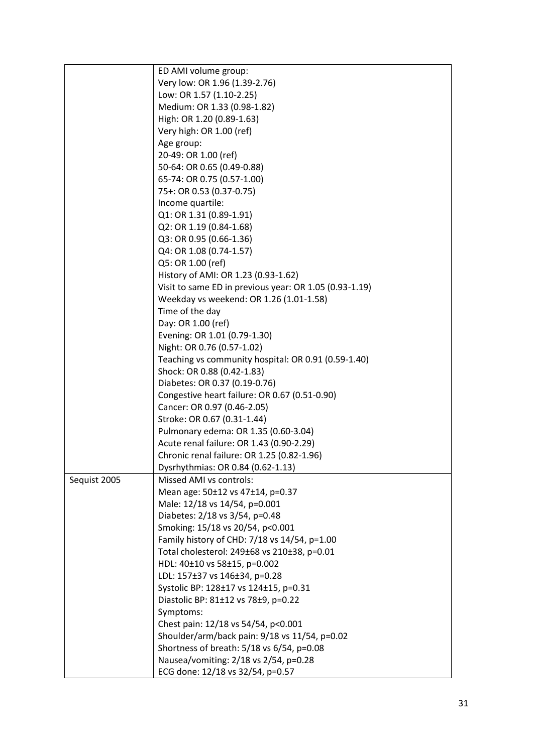|              | ED AMI volume group:                                              |
|--------------|-------------------------------------------------------------------|
|              | Very low: OR 1.96 (1.39-2.76)                                     |
|              | Low: OR 1.57 (1.10-2.25)                                          |
|              |                                                                   |
|              | Medium: OR 1.33 (0.98-1.82)                                       |
|              | High: OR 1.20 (0.89-1.63)                                         |
|              | Very high: OR 1.00 (ref)                                          |
|              | Age group:                                                        |
|              | 20-49: OR 1.00 (ref)                                              |
|              | 50-64: OR 0.65 (0.49-0.88)                                        |
|              | 65-74: OR 0.75 (0.57-1.00)                                        |
|              | 75+: OR 0.53 (0.37-0.75)                                          |
|              | Income quartile:                                                  |
|              | Q1: OR 1.31 (0.89-1.91)                                           |
|              | Q2: OR 1.19 (0.84-1.68)                                           |
|              | Q3: OR 0.95 (0.66-1.36)                                           |
|              | Q4: OR 1.08 (0.74-1.57)                                           |
|              | Q5: OR 1.00 (ref)                                                 |
|              | History of AMI: OR 1.23 (0.93-1.62)                               |
|              | Visit to same ED in previous year: OR 1.05 (0.93-1.19)            |
|              | Weekday vs weekend: OR 1.26 (1.01-1.58)                           |
|              | Time of the day                                                   |
|              | Day: OR 1.00 (ref)                                                |
|              | Evening: OR 1.01 (0.79-1.30)                                      |
|              | Night: OR 0.76 (0.57-1.02)                                        |
|              | Teaching vs community hospital: OR 0.91 (0.59-1.40)               |
|              | Shock: OR 0.88 (0.42-1.83)                                        |
|              | Diabetes: OR 0.37 (0.19-0.76)                                     |
|              | Congestive heart failure: OR 0.67 (0.51-0.90)                     |
|              | Cancer: OR 0.97 (0.46-2.05)                                       |
|              | Stroke: OR 0.67 (0.31-1.44)                                       |
|              | Pulmonary edema: OR 1.35 (0.60-3.04)                              |
|              | Acute renal failure: OR 1.43 (0.90-2.29)                          |
|              | Chronic renal failure: OR 1.25 (0.82-1.96)                        |
|              | Dysrhythmias: OR 0.84 (0.62-1.13)                                 |
|              | Missed AMI vs controls:                                           |
| Sequist 2005 |                                                                   |
|              | Mean age: 50±12 vs 47±14, p=0.37<br>Male: 12/18 vs 14/54, p=0.001 |
|              | Diabetes: 2/18 vs 3/54, p=0.48                                    |
|              |                                                                   |
|              | Smoking: 15/18 vs 20/54, p<0.001                                  |
|              | Family history of CHD: 7/18 vs 14/54, p=1.00                      |
|              | Total cholesterol: 249±68 vs 210±38, p=0.01                       |
|              | HDL: 40±10 vs 58±15, p=0.002                                      |
|              | LDL: 157±37 vs 146±34, p=0.28                                     |
|              | Systolic BP: 128±17 vs 124±15, p=0.31                             |
|              | Diastolic BP: 81±12 vs 78±9, p=0.22                               |
|              | Symptoms:                                                         |
|              | Chest pain: 12/18 vs 54/54, p<0.001                               |
|              | Shoulder/arm/back pain: 9/18 vs 11/54, p=0.02                     |
|              | Shortness of breath: 5/18 vs 6/54, p=0.08                         |
|              | Nausea/vomiting: 2/18 vs 2/54, p=0.28                             |
|              | ECG done: 12/18 vs 32/54, p=0.57                                  |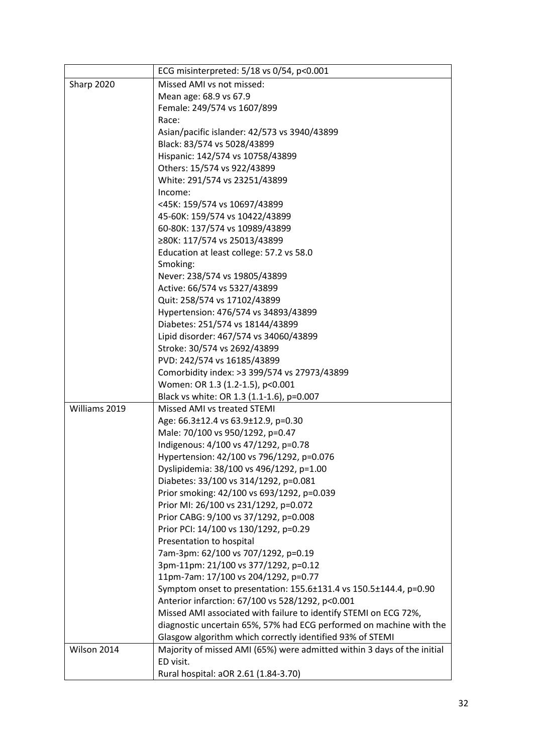|               | ECG misinterpreted: 5/18 vs 0/54, p<0.001                               |
|---------------|-------------------------------------------------------------------------|
| Sharp 2020    | Missed AMI vs not missed:                                               |
|               | Mean age: 68.9 vs 67.9                                                  |
|               | Female: 249/574 vs 1607/899                                             |
|               | Race:                                                                   |
|               | Asian/pacific islander: 42/573 vs 3940/43899                            |
|               | Black: 83/574 vs 5028/43899                                             |
|               | Hispanic: 142/574 vs 10758/43899                                        |
|               | Others: 15/574 vs 922/43899                                             |
|               | White: 291/574 vs 23251/43899                                           |
|               | Income:                                                                 |
|               | <45K: 159/574 vs 10697/43899                                            |
|               | 45-60K: 159/574 vs 10422/43899                                          |
|               | 60-80K: 137/574 vs 10989/43899                                          |
|               | ≥80K: 117/574 vs 25013/43899                                            |
|               | Education at least college: 57.2 vs 58.0                                |
|               | Smoking:                                                                |
|               | Never: 238/574 vs 19805/43899                                           |
|               | Active: 66/574 vs 5327/43899                                            |
|               | Quit: 258/574 vs 17102/43899                                            |
|               | Hypertension: 476/574 vs 34893/43899                                    |
|               | Diabetes: 251/574 vs 18144/43899                                        |
|               | Lipid disorder: 467/574 vs 34060/43899                                  |
|               | Stroke: 30/574 vs 2692/43899                                            |
|               | PVD: 242/574 vs 16185/43899                                             |
|               | Comorbidity index: > 3 399/574 vs 27973/43899                           |
|               | Women: OR 1.3 (1.2-1.5), p<0.001                                        |
|               | Black vs white: OR 1.3 (1.1-1.6), p=0.007                               |
| Williams 2019 | Missed AMI vs treated STEMI                                             |
|               | Age: 66.3±12.4 vs 63.9±12.9, p=0.30                                     |
|               | Male: 70/100 vs 950/1292, p=0.47                                        |
|               | Indigenous: 4/100 vs 47/1292, p=0.78                                    |
|               | Hypertension: 42/100 vs 796/1292, p=0.076                               |
|               | Dyslipidemia: 38/100 vs 496/1292, p=1.00                                |
|               | Diabetes: 33/100 vs 314/1292, p=0.081                                   |
|               | Prior smoking: 42/100 vs 693/1292, p=0.039                              |
|               | Prior MI: 26/100 vs 231/1292, p=0.072                                   |
|               | Prior CABG: 9/100 vs 37/1292, p=0.008                                   |
|               | Prior PCI: 14/100 vs 130/1292, p=0.29                                   |
|               | Presentation to hospital                                                |
|               | 7am-3pm: 62/100 vs 707/1292, p=0.19                                     |
|               | 3pm-11pm: 21/100 vs 377/1292, p=0.12                                    |
|               | 11pm-7am: 17/100 vs 204/1292, p=0.77                                    |
|               | Symptom onset to presentation: 155.6±131.4 vs 150.5±144.4, p=0.90       |
|               | Anterior infarction: 67/100 vs 528/1292, p<0.001                        |
|               | Missed AMI associated with failure to identify STEMI on ECG 72%,        |
|               | diagnostic uncertain 65%, 57% had ECG performed on machine with the     |
|               | Glasgow algorithm which correctly identified 93% of STEMI               |
| Wilson 2014   | Majority of missed AMI (65%) were admitted within 3 days of the initial |
|               | ED visit.                                                               |
|               | Rural hospital: aOR 2.61 (1.84-3.70)                                    |